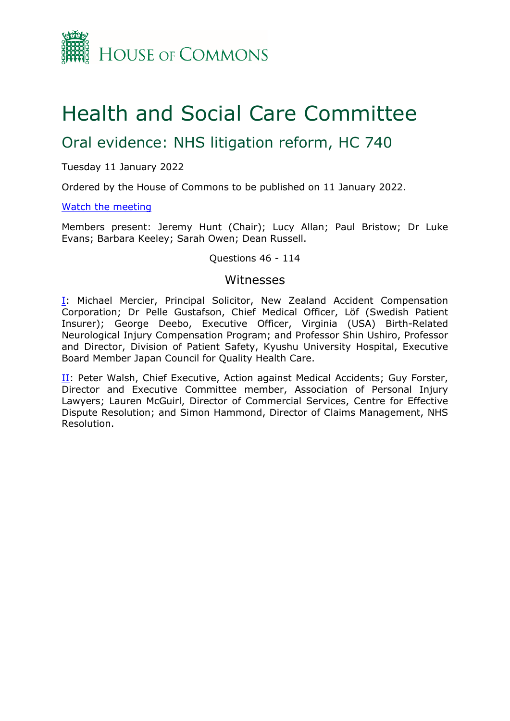

# Health and Social Care Committee

# Oral evidence: NHS litigation reform, HC 740

#### Tuesday 11 January 2022

Ordered by the House of Commons to be published on 11 January 2022.

#### [Watch](https://parliamentlive.tv/Event/Index/90094eaa-d64b-4428-be0c-e4a910949f82) [the](https://parliamentlive.tv/Event/Index/90094eaa-d64b-4428-be0c-e4a910949f82) [meeting](https://parliamentlive.tv/Event/Index/90094eaa-d64b-4428-be0c-e4a910949f82)

Members present: Jeremy Hunt (Chair); Lucy Allan; Paul Bristow; Dr Luke Evans; Barbara Keeley; Sarah Owen; Dean Russell.

#### Questions 46 - 114

#### Witnesses

[I:](#page-1-0) Michael Mercier, Principal Solicitor, New Zealand Accident Compensation Corporation; Dr Pelle Gustafson, Chief Medical Officer, Löf (Swedish Patient Insurer); George Deebo, Executive Officer, Virginia (USA) Birth-Related Neurological Injury Compensation Program; and Professor Shin Ushiro, Professor and Director, Division of Patient Safety, Kyushu University Hospital, Executive Board Member Japan Council for Quality Health Care.

II: Peter Walsh, Chief Executive, Action against Medical Accidents; Guy Forster, Director and Executive Committee member, Association of Personal Injury Lawyers; Lauren McGuirl, Director of Commercial Services, Centre for Effective Dispute Resolution; and Simon Hammond, Director of Claims Management, NHS Resolution.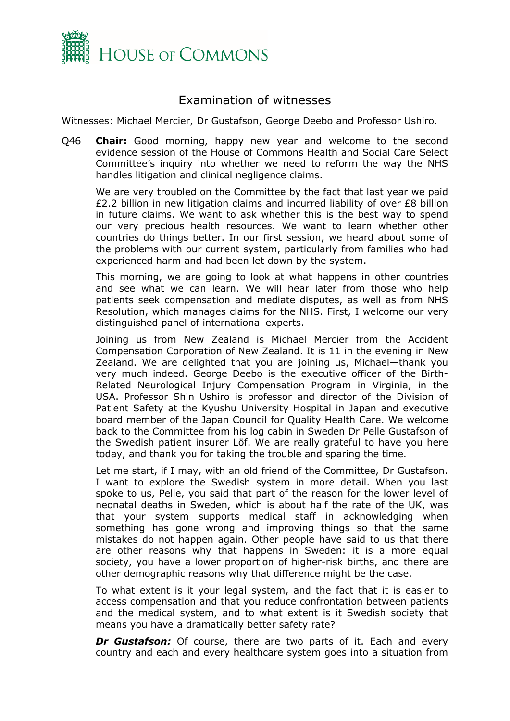

## <span id="page-1-0"></span>Examination of witnesses

Witnesses: Michael Mercier, Dr Gustafson, George Deebo and Professor Ushiro.

Q46 **Chair:** Good morning, happy new year and welcome to the second evidence session of the House of Commons Health and Social Care Select Committee's inquiry into whether we need to reform the way the NHS handles litigation and clinical negligence claims.

We are very troubled on the Committee by the fact that last year we paid £2.2 billion in new litigation claims and incurred liability of over £8 billion in future claims. We want to ask whether this is the best way to spend our very precious health resources. We want to learn whether other countries do things better. In our first session, we heard about some of the problems with our current system, particularly from families who had experienced harm and had been let down by the system.

This morning, we are going to look at what happens in other countries and see what we can learn. We will hear later from those who help patients seek compensation and mediate disputes, as well as from NHS Resolution, which manages claims for the NHS. First, I welcome our very distinguished panel of international experts.

Joining us from New Zealand is Michael Mercier from the Accident Compensation Corporation of New Zealand. It is 11 in the evening in New Zealand. We are delighted that you are joining us, Michael—thank you very much indeed. George Deebo is the executive officer of the Birth-Related Neurological Injury Compensation Program in Virginia, in the USA. Professor Shin Ushiro is professor and director of the Division of Patient Safety at the Kyushu University Hospital in Japan and executive board member of the Japan Council for Quality Health Care. We welcome back to the Committee from his log cabin in Sweden Dr Pelle Gustafson of the Swedish patient insurer Löf. We are really grateful to have you here today, and thank you for taking the trouble and sparing the time.

Let me start, if I may, with an old friend of the Committee, Dr Gustafson. I want to explore the Swedish system in more detail. When you last spoke to us, Pelle, you said that part of the reason for the lower level of neonatal deaths in Sweden, which is about half the rate of the UK, was that your system supports medical staff in acknowledging when something has gone wrong and improving things so that the same mistakes do not happen again. Other people have said to us that there are other reasons why that happens in Sweden: it is a more equal society, you have a lower proportion of higher-risk births, and there are other demographic reasons why that difference might be the case.

To what extent is it your legal system, and the fact that it is easier to access compensation and that you reduce confrontation between patients and the medical system, and to what extent is it Swedish society that means you have a dramatically better safety rate?

**Dr Gustafson:** Of course, there are two parts of it. Each and every country and each and every healthcare system goes into a situation from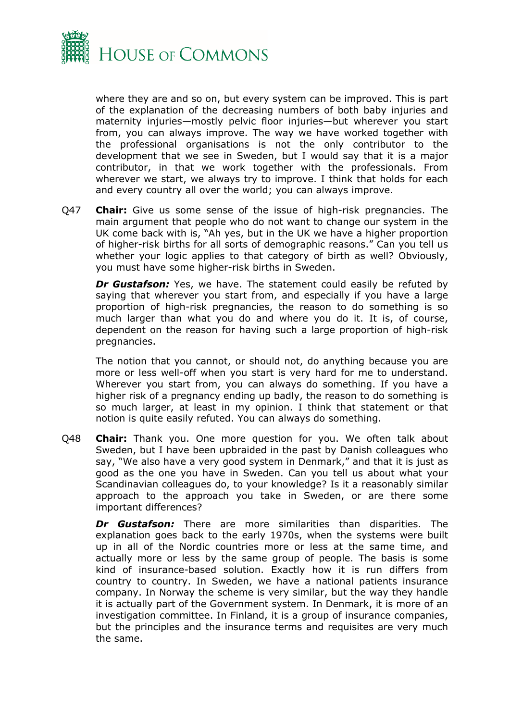

where they are and so on, but every system can be improved. This is part of the explanation of the decreasing numbers of both baby injuries and maternity injuries—mostly pelvic floor injuries—but wherever you start from, you can always improve. The way we have worked together with the professional organisations is not the only contributor to the development that we see in Sweden, but I would say that it is a major contributor, in that we work together with the professionals. From wherever we start, we always try to improve. I think that holds for each and every country all over the world; you can always improve.

Q47 **Chair:** Give us some sense of the issue of high-risk pregnancies. The main argument that people who do not want to change our system in the UK come back with is, "Ah yes, but in the UK we have a higher proportion of higher-risk births for all sorts of demographic reasons." Can you tell us whether your logic applies to that category of birth as well? Obviously, you must have some higher-risk births in Sweden.

*Dr Gustafson:* Yes, we have. The statement could easily be refuted by saying that wherever you start from, and especially if you have a large proportion of high-risk pregnancies, the reason to do something is so much larger than what you do and where you do it. It is, of course, dependent on the reason for having such a large proportion of high-risk pregnancies.

The notion that you cannot, or should not, do anything because you are more or less well-off when you start is very hard for me to understand. Wherever you start from, you can always do something. If you have a higher risk of a pregnancy ending up badly, the reason to do something is so much larger, at least in my opinion. I think that statement or that notion is quite easily refuted. You can always do something.

Q48 **Chair:** Thank you. One more question for you. We often talk about Sweden, but I have been upbraided in the past by Danish colleagues who say, "We also have a very good system in Denmark," and that it is just as good as the one you have in Sweden. Can you tell us about what your Scandinavian colleagues do, to your knowledge? Is it a reasonably similar approach to the approach you take in Sweden, or are there some important differences?

*Dr Gustafson:* There are more similarities than disparities. The explanation goes back to the early 1970s, when the systems were built up in all of the Nordic countries more or less at the same time, and actually more or less by the same group of people. The basis is some kind of insurance-based solution. Exactly how it is run differs from country to country. In Sweden, we have a national patients insurance company. In Norway the scheme is very similar, but the way they handle it is actually part of the Government system. In Denmark, it is more of an investigation committee. In Finland, it is a group of insurance companies, but the principles and the insurance terms and requisites are very much the same.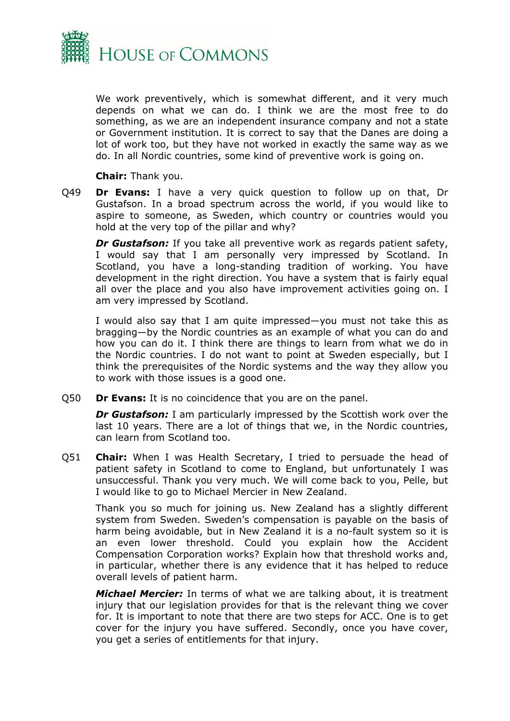

We work preventively, which is somewhat different, and it very much depends on what we can do. I think we are the most free to do something, as we are an independent insurance company and not a state or Government institution. It is correct to say that the Danes are doing a lot of work too, but they have not worked in exactly the same way as we do. In all Nordic countries, some kind of preventive work is going on.

**Chair:** Thank you.

Q49 **Dr Evans:** I have a very quick question to follow up on that, Dr Gustafson. In a broad spectrum across the world, if you would like to aspire to someone, as Sweden, which country or countries would you hold at the very top of the pillar and why?

*Dr Gustafson:* If you take all preventive work as regards patient safety, I would say that I am personally very impressed by Scotland. In Scotland, you have a long-standing tradition of working. You have development in the right direction. You have a system that is fairly equal all over the place and you also have improvement activities going on. I am very impressed by Scotland.

I would also say that I am quite impressed—you must not take this as bragging—by the Nordic countries as an example of what you can do and how you can do it. I think there are things to learn from what we do in the Nordic countries. I do not want to point at Sweden especially, but I think the prerequisites of the Nordic systems and the way they allow you to work with those issues is a good one.

Q50 **Dr Evans:** It is no coincidence that you are on the panel.

*Dr Gustafson:* I am particularly impressed by the Scottish work over the last 10 years. There are a lot of things that we, in the Nordic countries, can learn from Scotland too.

Q51 **Chair:** When I was Health Secretary, I tried to persuade the head of patient safety in Scotland to come to England, but unfortunately I was unsuccessful. Thank you very much. We will come back to you, Pelle, but I would like to go to Michael Mercier in New Zealand.

Thank you so much for joining us. New Zealand has a slightly different system from Sweden. Sweden's compensation is payable on the basis of harm being avoidable, but in New Zealand it is a no-fault system so it is an even lower threshold. Could you explain how the Accident Compensation Corporation works? Explain how that threshold works and, in particular, whether there is any evidence that it has helped to reduce overall levels of patient harm.

*Michael Mercier:* In terms of what we are talking about, it is treatment injury that our legislation provides for that is the relevant thing we cover for. It is important to note that there are two steps for ACC. One is to get cover for the injury you have suffered. Secondly, once you have cover, you get a series of entitlements for that injury.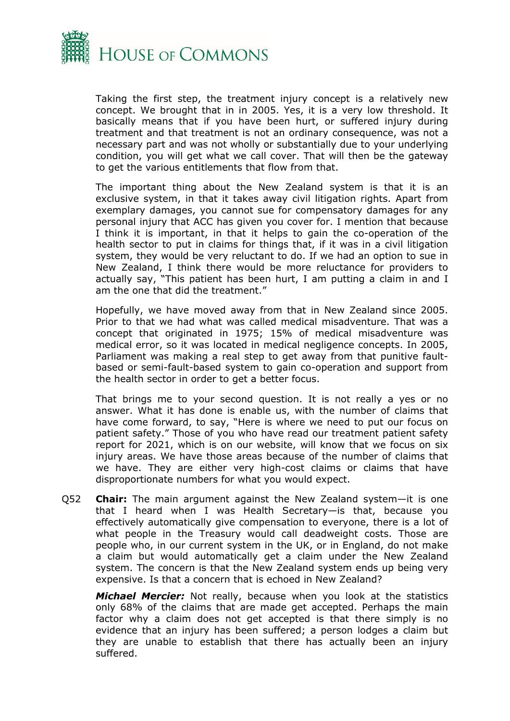

Taking the first step, the treatment injury concept is a relatively new concept. We brought that in in 2005. Yes, it is a very low threshold. It basically means that if you have been hurt, or suffered injury during treatment and that treatment is not an ordinary consequence, was not a necessary part and was not wholly or substantially due to your underlying condition, you will get what we call cover. That will then be the gateway to get the various entitlements that flow from that.

The important thing about the New Zealand system is that it is an exclusive system, in that it takes away civil litigation rights. Apart from exemplary damages, you cannot sue for compensatory damages for any personal injury that ACC has given you cover for. I mention that because I think it is important, in that it helps to gain the co-operation of the health sector to put in claims for things that, if it was in a civil litigation system, they would be very reluctant to do. If we had an option to sue in New Zealand, I think there would be more reluctance for providers to actually say, "This patient has been hurt, I am putting a claim in and I am the one that did the treatment."

Hopefully, we have moved away from that in New Zealand since 2005. Prior to that we had what was called medical misadventure. That was a concept that originated in 1975; 15% of medical misadventure was medical error, so it was located in medical negligence concepts. In 2005, Parliament was making a real step to get away from that punitive faultbased or semi-fault-based system to gain co-operation and support from the health sector in order to get a better focus.

That brings me to your second question. It is not really a yes or no answer. What it has done is enable us, with the number of claims that have come forward, to say, "Here is where we need to put our focus on patient safety." Those of you who have read our treatment patient safety report for 2021, which is on our website, will know that we focus on six injury areas. We have those areas because of the number of claims that we have. They are either very high-cost claims or claims that have disproportionate numbers for what you would expect.

Q52 **Chair:** The main argument against the New Zealand system—it is one that I heard when I was Health Secretary—is that, because you effectively automatically give compensation to everyone, there is a lot of what people in the Treasury would call deadweight costs. Those are people who, in our current system in the UK, or in England, do not make a claim but would automatically get a claim under the New Zealand system. The concern is that the New Zealand system ends up being very expensive. Is that a concern that is echoed in New Zealand?

*Michael Mercier:* Not really, because when you look at the statistics only 68% of the claims that are made get accepted. Perhaps the main factor why a claim does not get accepted is that there simply is no evidence that an injury has been suffered; a person lodges a claim but they are unable to establish that there has actually been an injury suffered.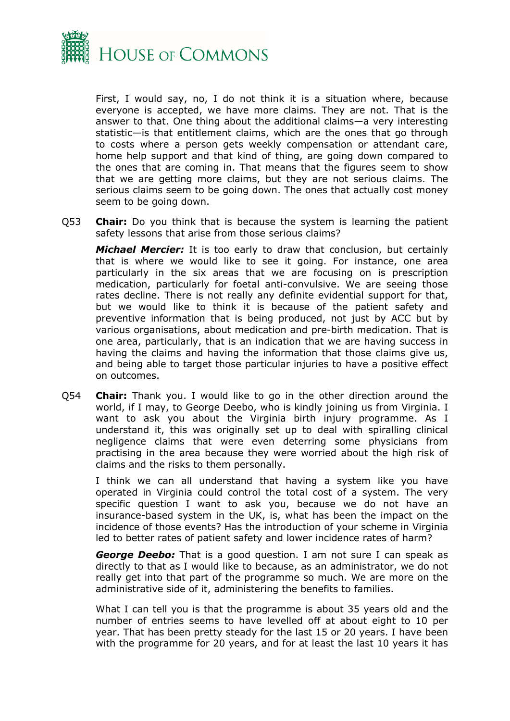

First, I would say, no, I do not think it is a situation where, because everyone is accepted, we have more claims. They are not. That is the answer to that. One thing about the additional claims—a very interesting statistic—is that entitlement claims, which are the ones that go through to costs where a person gets weekly compensation or attendant care, home help support and that kind of thing, are going down compared to the ones that are coming in. That means that the figures seem to show that we are getting more claims, but they are not serious claims. The serious claims seem to be going down. The ones that actually cost money seem to be going down.

Q53 **Chair:** Do you think that is because the system is learning the patient safety lessons that arise from those serious claims?

*Michael Mercier:* It is too early to draw that conclusion, but certainly that is where we would like to see it going. For instance, one area particularly in the six areas that we are focusing on is prescription medication, particularly for foetal anti-convulsive. We are seeing those rates decline. There is not really any definite evidential support for that, but we would like to think it is because of the patient safety and preventive information that is being produced, not just by ACC but by various organisations, about medication and pre-birth medication. That is one area, particularly, that is an indication that we are having success in having the claims and having the information that those claims give us, and being able to target those particular injuries to have a positive effect on outcomes.

Q54 **Chair:** Thank you. I would like to go in the other direction around the world, if I may, to George Deebo, who is kindly joining us from Virginia. I want to ask you about the Virginia birth injury programme. As I understand it, this was originally set up to deal with spiralling clinical negligence claims that were even deterring some physicians from practising in the area because they were worried about the high risk of claims and the risks to them personally.

I think we can all understand that having a system like you have operated in Virginia could control the total cost of a system. The very specific question I want to ask you, because we do not have an insurance-based system in the UK, is, what has been the impact on the incidence of those events? Has the introduction of your scheme in Virginia led to better rates of patient safety and lower incidence rates of harm?

*George Deebo:* That is a good question. I am not sure I can speak as directly to that as I would like to because, as an administrator, we do not really get into that part of the programme so much. We are more on the administrative side of it, administering the benefits to families.

What I can tell you is that the programme is about 35 years old and the number of entries seems to have levelled off at about eight to 10 per year. That has been pretty steady for the last 15 or 20 years. I have been with the programme for 20 years, and for at least the last 10 years it has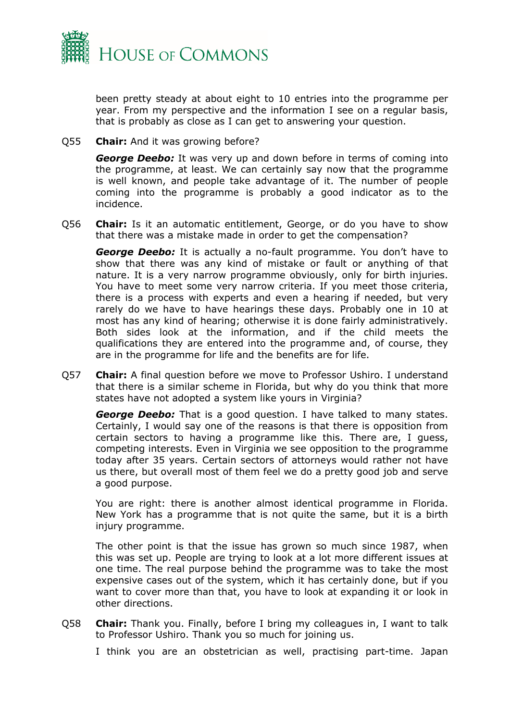

been pretty steady at about eight to 10 entries into the programme per year. From my perspective and the information I see on a regular basis, that is probably as close as I can get to answering your question.

Q55 **Chair:** And it was growing before?

*George Deebo:* It was very up and down before in terms of coming into the programme, at least. We can certainly say now that the programme is well known, and people take advantage of it. The number of people coming into the programme is probably a good indicator as to the incidence.

Q56 **Chair:** Is it an automatic entitlement, George, or do you have to show that there was a mistake made in order to get the compensation?

*George Deebo:* It is actually a no-fault programme. You don't have to show that there was any kind of mistake or fault or anything of that nature. It is a very narrow programme obviously, only for birth injuries. You have to meet some very narrow criteria. If you meet those criteria, there is a process with experts and even a hearing if needed, but very rarely do we have to have hearings these days. Probably one in 10 at most has any kind of hearing; otherwise it is done fairly administratively. Both sides look at the information, and if the child meets the qualifications they are entered into the programme and, of course, they are in the programme for life and the benefits are for life.

Q57 **Chair:** A final question before we move to Professor Ushiro. I understand that there is a similar scheme in Florida, but why do you think that more states have not adopted a system like yours in Virginia?

*George Deebo:* That is a good question. I have talked to many states. Certainly, I would say one of the reasons is that there is opposition from certain sectors to having a programme like this. There are, I guess, competing interests. Even in Virginia we see opposition to the programme today after 35 years. Certain sectors of attorneys would rather not have us there, but overall most of them feel we do a pretty good job and serve a good purpose.

You are right: there is another almost identical programme in Florida. New York has a programme that is not quite the same, but it is a birth injury programme.

The other point is that the issue has grown so much since 1987, when this was set up. People are trying to look at a lot more different issues at one time. The real purpose behind the programme was to take the most expensive cases out of the system, which it has certainly done, but if you want to cover more than that, you have to look at expanding it or look in other directions.

Q58 **Chair:** Thank you. Finally, before I bring my colleagues in, I want to talk to Professor Ushiro. Thank you so much for joining us.

I think you are an obstetrician as well, practising part-time. Japan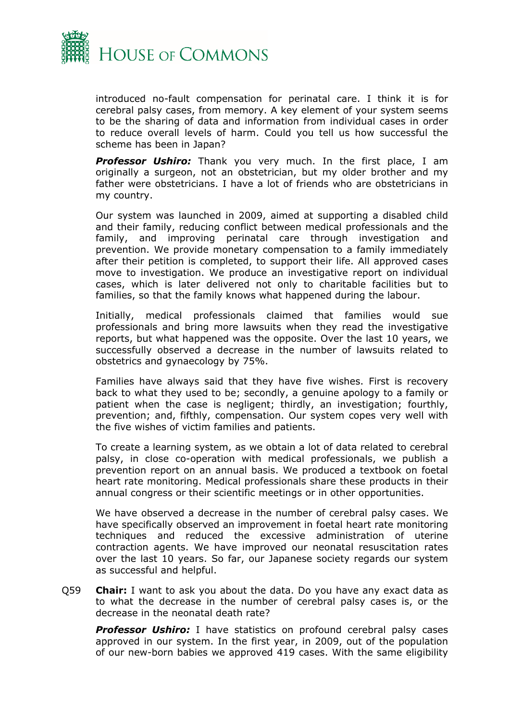

introduced no-fault compensation for perinatal care. I think it is for cerebral palsy cases, from memory. A key element of your system seems to be the sharing of data and information from individual cases in order to reduce overall levels of harm. Could you tell us how successful the scheme has been in Japan?

*Professor Ushiro:* Thank you very much. In the first place, I am originally a surgeon, not an obstetrician, but my older brother and my father were obstetricians. I have a lot of friends who are obstetricians in my country.

Our system was launched in 2009, aimed at supporting a disabled child and their family, reducing conflict between medical professionals and the family, and improving perinatal care through investigation and prevention. We provide monetary compensation to a family immediately after their petition is completed, to support their life. All approved cases move to investigation. We produce an investigative report on individual cases, which is later delivered not only to charitable facilities but to families, so that the family knows what happened during the labour.

Initially, medical professionals claimed that families would sue professionals and bring more lawsuits when they read the investigative reports, but what happened was the opposite. Over the last 10 years, we successfully observed a decrease in the number of lawsuits related to obstetrics and gynaecology by 75%.

Families have always said that they have five wishes. First is recovery back to what they used to be; secondly, a genuine apology to a family or patient when the case is negligent; thirdly, an investigation; fourthly, prevention; and, fifthly, compensation. Our system copes very well with the five wishes of victim families and patients.

To create a learning system, as we obtain a lot of data related to cerebral palsy, in close co-operation with medical professionals, we publish a prevention report on an annual basis. We produced a textbook on foetal heart rate monitoring. Medical professionals share these products in their annual congress or their scientific meetings or in other opportunities.

We have observed a decrease in the number of cerebral palsy cases. We have specifically observed an improvement in foetal heart rate monitoring techniques and reduced the excessive administration of uterine contraction agents. We have improved our neonatal resuscitation rates over the last 10 years. So far, our Japanese society regards our system as successful and helpful.

Q59 **Chair:** I want to ask you about the data. Do you have any exact data as to what the decrease in the number of cerebral palsy cases is, or the decrease in the neonatal death rate?

**Professor Ushiro:** I have statistics on profound cerebral palsy cases approved in our system. In the first year, in 2009, out of the population of our new-born babies we approved 419 cases. With the same eligibility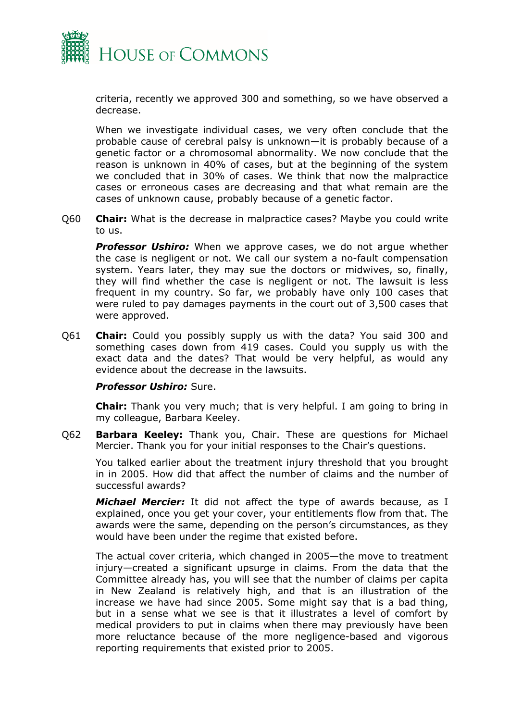

criteria, recently we approved 300 and something, so we have observed a decrease.

When we investigate individual cases, we very often conclude that the probable cause of cerebral palsy is unknown—it is probably because of a genetic factor or a chromosomal abnormality. We now conclude that the reason is unknown in 40% of cases, but at the beginning of the system we concluded that in 30% of cases. We think that now the malpractice cases or erroneous cases are decreasing and that what remain are the cases of unknown cause, probably because of a genetic factor.

Q60 **Chair:** What is the decrease in malpractice cases? Maybe you could write to us.

**Professor Ushiro:** When we approve cases, we do not argue whether the case is negligent or not. We call our system a no-fault compensation system. Years later, they may sue the doctors or midwives, so, finally, they will find whether the case is negligent or not. The lawsuit is less frequent in my country. So far, we probably have only 100 cases that were ruled to pay damages payments in the court out of 3,500 cases that were approved.

Q61 **Chair:** Could you possibly supply us with the data? You said 300 and something cases down from 419 cases. Could you supply us with the exact data and the dates? That would be very helpful, as would any evidence about the decrease in the lawsuits.

#### *Professor Ushiro:* Sure.

**Chair:** Thank you very much; that is very helpful. I am going to bring in my colleague, Barbara Keeley.

Q62 **Barbara Keeley:** Thank you, Chair. These are questions for Michael Mercier. Thank you for your initial responses to the Chair's questions.

You talked earlier about the treatment injury threshold that you brought in in 2005. How did that affect the number of claims and the number of successful awards?

*Michael Mercier:* It did not affect the type of awards because, as I explained, once you get your cover, your entitlements flow from that. The awards were the same, depending on the person's circumstances, as they would have been under the regime that existed before.

The actual cover criteria, which changed in 2005—the move to treatment injury—created a significant upsurge in claims. From the data that the Committee already has, you will see that the number of claims per capita in New Zealand is relatively high, and that is an illustration of the increase we have had since 2005. Some might say that is a bad thing, but in a sense what we see is that it illustrates a level of comfort by medical providers to put in claims when there may previously have been more reluctance because of the more negligence-based and vigorous reporting requirements that existed prior to 2005.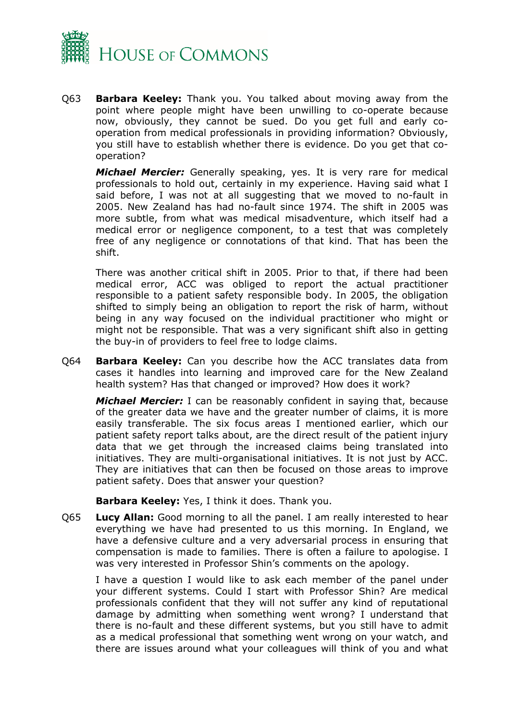

Q63 **Barbara Keeley:** Thank you. You talked about moving away from the point where people might have been unwilling to co-operate because now, obviously, they cannot be sued. Do you get full and early cooperation from medical professionals in providing information? Obviously, you still have to establish whether there is evidence. Do you get that cooperation?

*Michael Mercier:* Generally speaking, yes. It is very rare for medical professionals to hold out, certainly in my experience. Having said what I said before, I was not at all suggesting that we moved to no-fault in 2005. New Zealand has had no-fault since 1974. The shift in 2005 was more subtle, from what was medical misadventure, which itself had a medical error or negligence component, to a test that was completely free of any negligence or connotations of that kind. That has been the shift.

There was another critical shift in 2005. Prior to that, if there had been medical error, ACC was obliged to report the actual practitioner responsible to a patient safety responsible body. In 2005, the obligation shifted to simply being an obligation to report the risk of harm, without being in any way focused on the individual practitioner who might or might not be responsible. That was a very significant shift also in getting the buy-in of providers to feel free to lodge claims.

Q64 **Barbara Keeley:** Can you describe how the ACC translates data from cases it handles into learning and improved care for the New Zealand health system? Has that changed or improved? How does it work?

*Michael Mercier:* I can be reasonably confident in saying that, because of the greater data we have and the greater number of claims, it is more easily transferable. The six focus areas I mentioned earlier, which our patient safety report talks about, are the direct result of the patient injury data that we get through the increased claims being translated into initiatives. They are multi-organisational initiatives. It is not just by ACC. They are initiatives that can then be focused on those areas to improve patient safety. Does that answer your question?

**Barbara Keeley:** Yes, I think it does. Thank you.

Q65 **Lucy Allan:** Good morning to all the panel. I am really interested to hear everything we have had presented to us this morning. In England, we have a defensive culture and a very adversarial process in ensuring that compensation is made to families. There is often a failure to apologise. I was very interested in Professor Shin's comments on the apology.

I have a question I would like to ask each member of the panel under your different systems. Could I start with Professor Shin? Are medical professionals confident that they will not suffer any kind of reputational damage by admitting when something went wrong? I understand that there is no-fault and these different systems, but you still have to admit as a medical professional that something went wrong on your watch, and there are issues around what your colleagues will think of you and what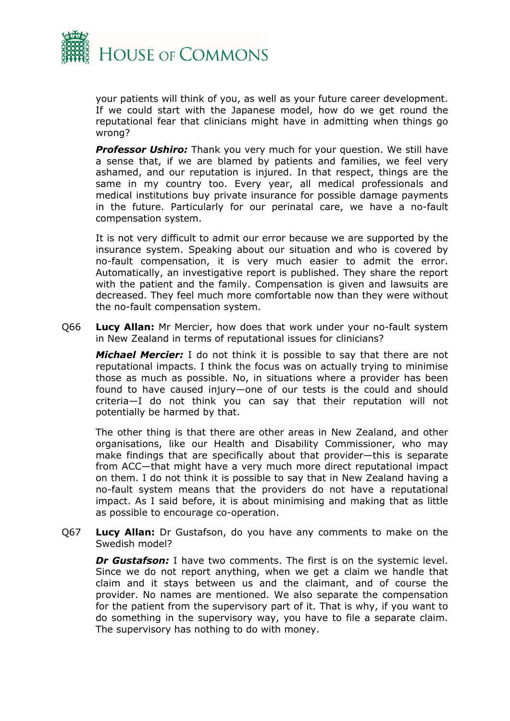

your patients will think of you, as well as your future career development. If we could start with the Japanese model, how do we get round the reputational fear that clinicians might have in admitting when things go wrong?

*Professor Ushiro:* Thank you very much for your question. We still have a sense that, if we are blamed by patients and families, we feel very ashamed, and our reputation is injured. In that respect, things are the same in my country too. Every year, all medical professionals and medical institutions buy private insurance for possible damage payments in the future. Particularly for our perinatal care, we have a no-fault compensation system.

It is not very difficult to admit our error because we are supported by the insurance system. Speaking about our situation and who is covered by no-fault compensation, it is very much easier to admit the error. Automatically, an investigative report is published. They share the report with the patient and the family. Compensation is given and lawsuits are decreased. They feel much more comfortable now than they were without the no-fault compensation system.

Q66 **Lucy Allan:** Mr Mercier, how does that work under your no-fault system in New Zealand in terms of reputational issues for clinicians?

*Michael Mercier:* I do not think it is possible to say that there are not reputational impacts. I think the focus was on actually trying to minimise those as much as possible. No, in situations where a provider has been found to have caused injury—one of our tests is the could and should criteria—I do not think you can say that their reputation will not potentially be harmed by that.

The other thing is that there are other areas in New Zealand, and other organisations, like our Health and Disability Commissioner, who may make findings that are specifically about that provider—this is separate from ACC—that might have a very much more direct reputational impact on them. I do not think it is possible to say that in New Zealand having a no-fault system means that the providers do not have a reputational impact. As I said before, it is about minimising and making that as little as possible to encourage co-operation.

Q67 **Lucy Allan:** Dr Gustafson, do you have any comments to make on the Swedish model?

*Dr Gustafson:* I have two comments. The first is on the systemic level. Since we do not report anything, when we get a claim we handle that claim and it stays between us and the claimant, and of course the provider. No names are mentioned. We also separate the compensation for the patient from the supervisory part of it. That is why, if you want to do something in the supervisory way, you have to file a separate claim. The supervisory has nothing to do with money.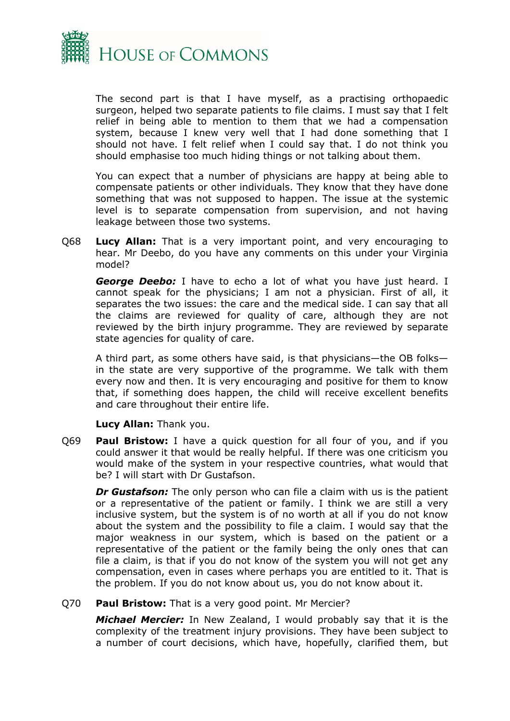

The second part is that I have myself, as a practising orthopaedic surgeon, helped two separate patients to file claims. I must say that I felt relief in being able to mention to them that we had a compensation system, because I knew very well that I had done something that I should not have. I felt relief when I could say that. I do not think you should emphasise too much hiding things or not talking about them.

You can expect that a number of physicians are happy at being able to compensate patients or other individuals. They know that they have done something that was not supposed to happen. The issue at the systemic level is to separate compensation from supervision, and not having leakage between those two systems.

Q68 **Lucy Allan:** That is a very important point, and very encouraging to hear. Mr Deebo, do you have any comments on this under your Virginia model?

*George Deebo:* I have to echo a lot of what you have just heard. I cannot speak for the physicians; I am not a physician. First of all, it separates the two issues: the care and the medical side. I can say that all the claims are reviewed for quality of care, although they are not reviewed by the birth injury programme. They are reviewed by separate state agencies for quality of care.

A third part, as some others have said, is that physicians—the OB folks in the state are very supportive of the programme. We talk with them every now and then. It is very encouraging and positive for them to know that, if something does happen, the child will receive excellent benefits and care throughout their entire life.

**Lucy Allan:** Thank you.

Q69 **Paul Bristow:** I have a quick question for all four of you, and if you could answer it that would be really helpful. If there was one criticism you would make of the system in your respective countries, what would that be? I will start with Dr Gustafson.

*Dr Gustafson:* The only person who can file a claim with us is the patient or a representative of the patient or family. I think we are still a very inclusive system, but the system is of no worth at all if you do not know about the system and the possibility to file a claim. I would say that the major weakness in our system, which is based on the patient or a representative of the patient or the family being the only ones that can file a claim, is that if you do not know of the system you will not get any compensation, even in cases where perhaps you are entitled to it. That is the problem. If you do not know about us, you do not know about it.

#### Q70 **Paul Bristow:** That is a very good point. Mr Mercier?

*Michael Mercier:* In New Zealand, I would probably say that it is the complexity of the treatment injury provisions. They have been subject to a number of court decisions, which have, hopefully, clarified them, but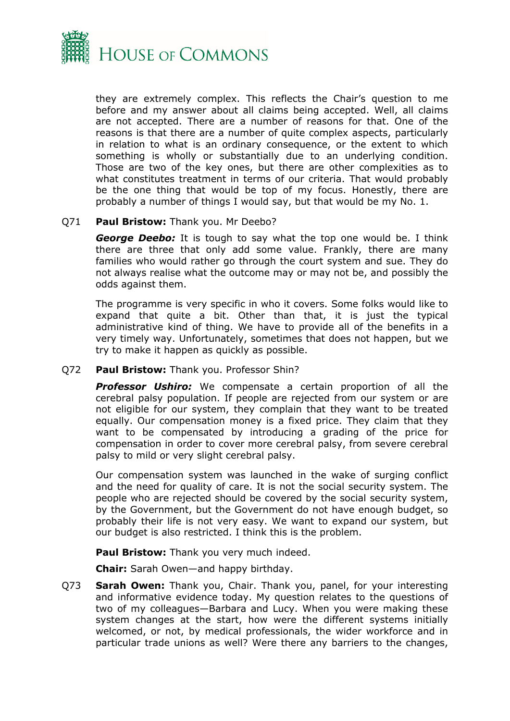

they are extremely complex. This reflects the Chair's question to me before and my answer about all claims being accepted. Well, all claims are not accepted. There are a number of reasons for that. One of the reasons is that there are a number of quite complex aspects, particularly in relation to what is an ordinary consequence, or the extent to which something is wholly or substantially due to an underlying condition. Those are two of the key ones, but there are other complexities as to what constitutes treatment in terms of our criteria. That would probably be the one thing that would be top of my focus. Honestly, there are probably a number of things I would say, but that would be my No. 1.

#### Q71 **Paul Bristow:** Thank you. Mr Deebo?

*George Deebo:* It is tough to say what the top one would be. I think there are three that only add some value. Frankly, there are many families who would rather go through the court system and sue. They do not always realise what the outcome may or may not be, and possibly the odds against them.

The programme is very specific in who it covers. Some folks would like to expand that quite a bit. Other than that, it is just the typical administrative kind of thing. We have to provide all of the benefits in a very timely way. Unfortunately, sometimes that does not happen, but we try to make it happen as quickly as possible.

Q72 **Paul Bristow:** Thank you. Professor Shin?

*Professor Ushiro:* We compensate a certain proportion of all the cerebral palsy population. If people are rejected from our system or are not eligible for our system, they complain that they want to be treated equally. Our compensation money is a fixed price. They claim that they want to be compensated by introducing a grading of the price for compensation in order to cover more cerebral palsy, from severe cerebral palsy to mild or very slight cerebral palsy.

Our compensation system was launched in the wake of surging conflict and the need for quality of care. It is not the social security system. The people who are rejected should be covered by the social security system, by the Government, but the Government do not have enough budget, so probably their life is not very easy. We want to expand our system, but our budget is also restricted. I think this is the problem.

**Paul Bristow:** Thank you very much indeed.

**Chair:** Sarah Owen—and happy birthday.

Q73 **Sarah Owen:** Thank you, Chair. Thank you, panel, for your interesting and informative evidence today. My question relates to the questions of two of my colleagues—Barbara and Lucy. When you were making these system changes at the start, how were the different systems initially welcomed, or not, by medical professionals, the wider workforce and in particular trade unions as well? Were there any barriers to the changes,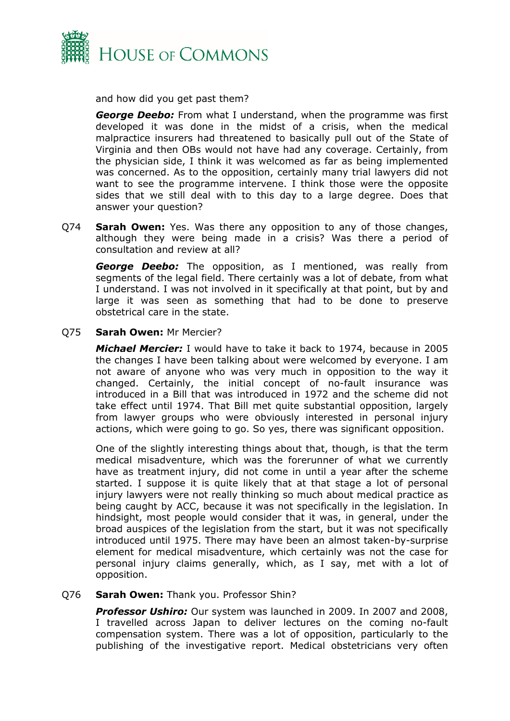

and how did you get past them?

*George Deebo:* From what I understand, when the programme was first developed it was done in the midst of a crisis, when the medical malpractice insurers had threatened to basically pull out of the State of Virginia and then OBs would not have had any coverage. Certainly, from the physician side, I think it was welcomed as far as being implemented was concerned. As to the opposition, certainly many trial lawyers did not want to see the programme intervene. I think those were the opposite sides that we still deal with to this day to a large degree. Does that answer your question?

Q74 **Sarah Owen:** Yes. Was there any opposition to any of those changes, although they were being made in a crisis? Was there a period of consultation and review at all?

*George Deebo:* The opposition, as I mentioned, was really from segments of the legal field. There certainly was a lot of debate, from what I understand. I was not involved in it specifically at that point, but by and large it was seen as something that had to be done to preserve obstetrical care in the state.

#### Q75 **Sarah Owen:** Mr Mercier?

*Michael Mercier:* I would have to take it back to 1974, because in 2005 the changes I have been talking about were welcomed by everyone. I am not aware of anyone who was very much in opposition to the way it changed. Certainly, the initial concept of no-fault insurance was introduced in a Bill that was introduced in 1972 and the scheme did not take effect until 1974. That Bill met quite substantial opposition, largely from lawyer groups who were obviously interested in personal injury actions, which were going to go. So yes, there was significant opposition.

One of the slightly interesting things about that, though, is that the term medical misadventure, which was the forerunner of what we currently have as treatment injury, did not come in until a year after the scheme started. I suppose it is quite likely that at that stage a lot of personal injury lawyers were not really thinking so much about medical practice as being caught by ACC, because it was not specifically in the legislation. In hindsight, most people would consider that it was, in general, under the broad auspices of the legislation from the start, but it was not specifically introduced until 1975. There may have been an almost taken-by-surprise element for medical misadventure, which certainly was not the case for personal injury claims generally, which, as I say, met with a lot of opposition.

#### Q76 **Sarah Owen:** Thank you. Professor Shin?

*Professor Ushiro:* Our system was launched in 2009. In 2007 and 2008, I travelled across Japan to deliver lectures on the coming no-fault compensation system. There was a lot of opposition, particularly to the publishing of the investigative report. Medical obstetricians very often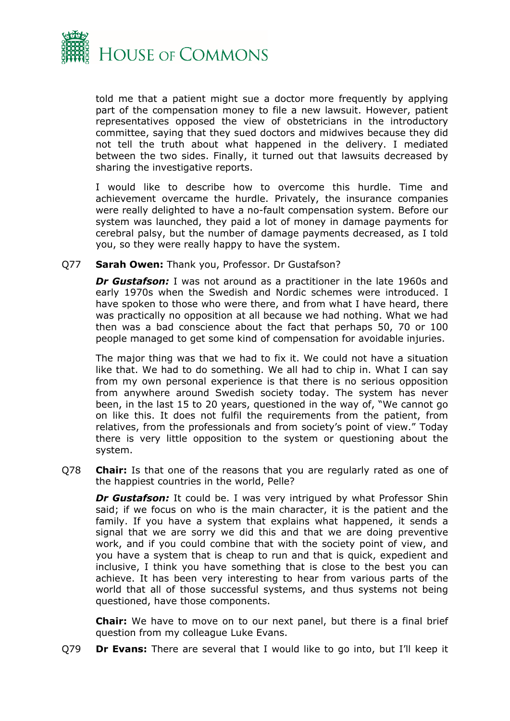

told me that a patient might sue a doctor more frequently by applying part of the compensation money to file a new lawsuit. However, patient representatives opposed the view of obstetricians in the introductory committee, saying that they sued doctors and midwives because they did not tell the truth about what happened in the delivery. I mediated between the two sides. Finally, it turned out that lawsuits decreased by sharing the investigative reports.

I would like to describe how to overcome this hurdle. Time and achievement overcame the hurdle. Privately, the insurance companies were really delighted to have a no-fault compensation system. Before our system was launched, they paid a lot of money in damage payments for cerebral palsy, but the number of damage payments decreased, as I told you, so they were really happy to have the system.

#### Q77 **Sarah Owen:** Thank you, Professor. Dr Gustafson?

*Dr Gustafson:* I was not around as a practitioner in the late 1960s and early 1970s when the Swedish and Nordic schemes were introduced. I have spoken to those who were there, and from what I have heard, there was practically no opposition at all because we had nothing. What we had then was a bad conscience about the fact that perhaps 50, 70 or 100 people managed to get some kind of compensation for avoidable injuries.

The major thing was that we had to fix it. We could not have a situation like that. We had to do something. We all had to chip in. What I can say from my own personal experience is that there is no serious opposition from anywhere around Swedish society today. The system has never been, in the last 15 to 20 years, questioned in the way of, "We cannot go on like this. It does not fulfil the requirements from the patient, from relatives, from the professionals and from society's point of view." Today there is very little opposition to the system or questioning about the system.

Q78 **Chair:** Is that one of the reasons that you are regularly rated as one of the happiest countries in the world, Pelle?

**Dr Gustafson:** It could be. I was very intrigued by what Professor Shin said; if we focus on who is the main character, it is the patient and the family. If you have a system that explains what happened, it sends a signal that we are sorry we did this and that we are doing preventive work, and if you could combine that with the society point of view, and you have a system that is cheap to run and that is quick, expedient and inclusive, I think you have something that is close to the best you can achieve. It has been very interesting to hear from various parts of the world that all of those successful systems, and thus systems not being questioned, have those components.

**Chair:** We have to move on to our next panel, but there is a final brief question from my colleague Luke Evans.

Q79 **Dr Evans:** There are several that I would like to go into, but I'll keep it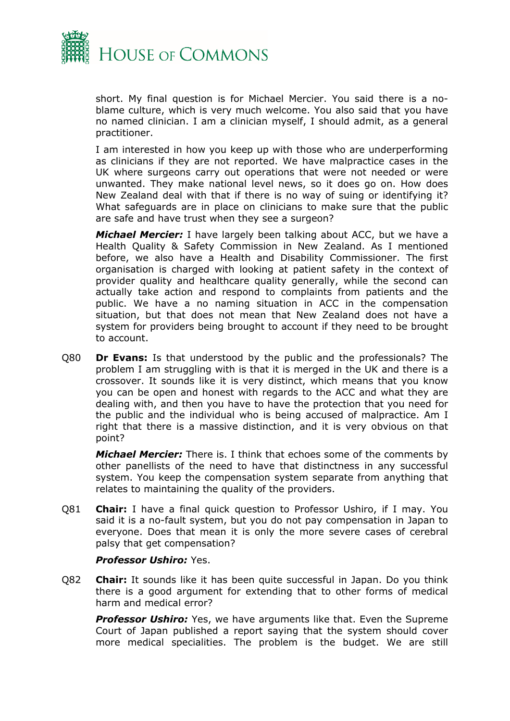

short. My final question is for Michael Mercier. You said there is a noblame culture, which is very much welcome. You also said that you have no named clinician. I am a clinician myself, I should admit, as a general practitioner.

I am interested in how you keep up with those who are underperforming as clinicians if they are not reported. We have malpractice cases in the UK where surgeons carry out operations that were not needed or were unwanted. They make national level news, so it does go on. How does New Zealand deal with that if there is no way of suing or identifying it? What safeguards are in place on clinicians to make sure that the public are safe and have trust when they see a surgeon?

*Michael Mercier:* I have largely been talking about ACC, but we have a Health Quality & Safety Commission in New Zealand. As I mentioned before, we also have a Health and Disability Commissioner. The first organisation is charged with looking at patient safety in the context of provider quality and healthcare quality generally, while the second can actually take action and respond to complaints from patients and the public. We have a no naming situation in ACC in the compensation situation, but that does not mean that New Zealand does not have a system for providers being brought to account if they need to be brought to account.

Q80 **Dr Evans:** Is that understood by the public and the professionals? The problem I am struggling with is that it is merged in the UK and there is a crossover. It sounds like it is very distinct, which means that you know you can be open and honest with regards to the ACC and what they are dealing with, and then you have to have the protection that you need for the public and the individual who is being accused of malpractice. Am I right that there is a massive distinction, and it is very obvious on that point?

*Michael Mercier:* There is. I think that echoes some of the comments by other panellists of the need to have that distinctness in any successful system. You keep the compensation system separate from anything that relates to maintaining the quality of the providers.

Q81 **Chair:** I have a final quick question to Professor Ushiro, if I may. You said it is a no-fault system, but you do not pay compensation in Japan to everyone. Does that mean it is only the more severe cases of cerebral palsy that get compensation?

#### *Professor Ushiro:* Yes.

Q82 **Chair:** It sounds like it has been quite successful in Japan. Do you think there is a good argument for extending that to other forms of medical harm and medical error?

**Professor Ushiro:** Yes, we have arguments like that. Even the Supreme Court of Japan published a report saying that the system should cover more medical specialities. The problem is the budget. We are still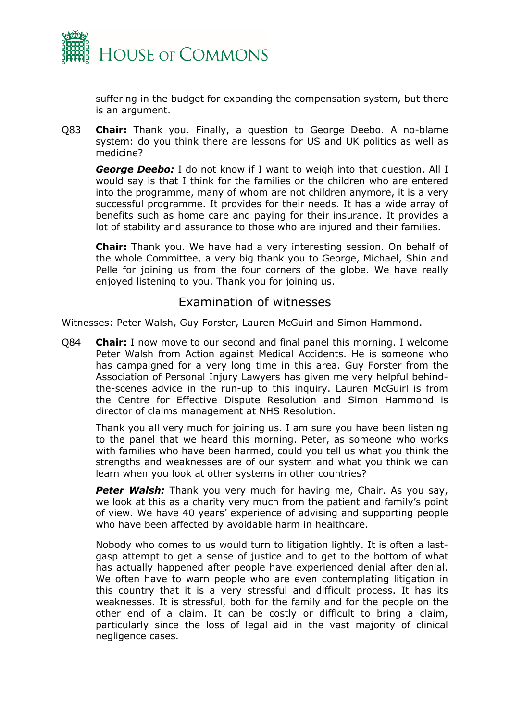

suffering in the budget for expanding the compensation system, but there is an argument.

Q83 **Chair:** Thank you. Finally, a question to George Deebo. A no-blame system: do you think there are lessons for US and UK politics as well as medicine?

*George Deebo:* I do not know if I want to weigh into that question. All I would say is that I think for the families or the children who are entered into the programme, many of whom are not children anymore, it is a very successful programme. It provides for their needs. It has a wide array of benefits such as home care and paying for their insurance. It provides a lot of stability and assurance to those who are injured and their families.

**Chair:** Thank you. We have had a very interesting session. On behalf of the whole Committee, a very big thank you to George, Michael, Shin and Pelle for joining us from the four corners of the globe. We have really enjoyed listening to you. Thank you for joining us.

### Examination of witnesses

Witnesses: Peter Walsh, Guy Forster, Lauren McGuirl and Simon Hammond.

Q84 **Chair:** I now move to our second and final panel this morning. I welcome Peter Walsh from Action against Medical Accidents. He is someone who has campaigned for a very long time in this area. Guy Forster from the Association of Personal Injury Lawyers has given me very helpful behindthe-scenes advice in the run-up to this inquiry. Lauren McGuirl is from the Centre for Effective Dispute Resolution and Simon Hammond is director of claims management at NHS Resolution.

Thank you all very much for joining us. I am sure you have been listening to the panel that we heard this morning. Peter, as someone who works with families who have been harmed, could you tell us what you think the strengths and weaknesses are of our system and what you think we can learn when you look at other systems in other countries?

*Peter Walsh:* Thank you very much for having me, Chair. As you say, we look at this as a charity very much from the patient and family's point of view. We have 40 years' experience of advising and supporting people who have been affected by avoidable harm in healthcare.

Nobody who comes to us would turn to litigation lightly. It is often a lastgasp attempt to get a sense of justice and to get to the bottom of what has actually happened after people have experienced denial after denial. We often have to warn people who are even contemplating litigation in this country that it is a very stressful and difficult process. It has its weaknesses. It is stressful, both for the family and for the people on the other end of a claim. It can be costly or difficult to bring a claim, particularly since the loss of legal aid in the vast majority of clinical negligence cases.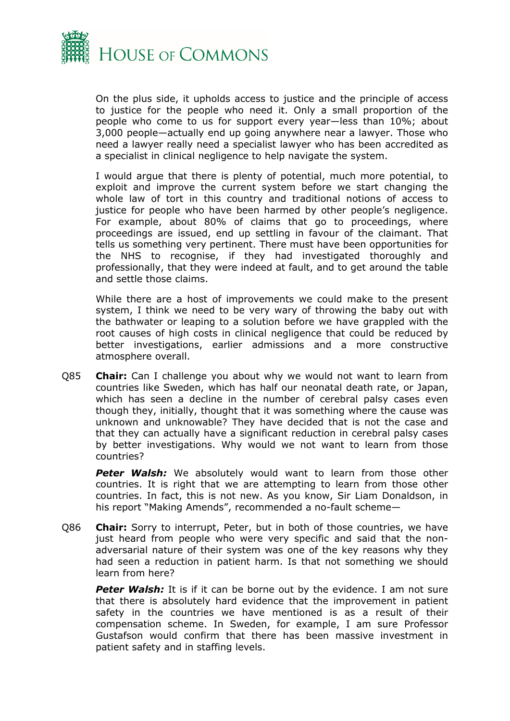

On the plus side, it upholds access to justice and the principle of access to justice for the people who need it. Only a small proportion of the people who come to us for support every year—less than 10%; about 3,000 people—actually end up going anywhere near a lawyer. Those who need a lawyer really need a specialist lawyer who has been accredited as a specialist in clinical negligence to help navigate the system.

I would argue that there is plenty of potential, much more potential, to exploit and improve the current system before we start changing the whole law of tort in this country and traditional notions of access to justice for people who have been harmed by other people's negligence. For example, about 80% of claims that go to proceedings, where proceedings are issued, end up settling in favour of the claimant. That tells us something very pertinent. There must have been opportunities for the NHS to recognise, if they had investigated thoroughly and professionally, that they were indeed at fault, and to get around the table and settle those claims.

While there are a host of improvements we could make to the present system, I think we need to be very wary of throwing the baby out with the bathwater or leaping to a solution before we have grappled with the root causes of high costs in clinical negligence that could be reduced by better investigations, earlier admissions and a more constructive atmosphere overall.

Q85 **Chair:** Can I challenge you about why we would not want to learn from countries like Sweden, which has half our neonatal death rate, or Japan, which has seen a decline in the number of cerebral palsy cases even though they, initially, thought that it was something where the cause was unknown and unknowable? They have decided that is not the case and that they can actually have a significant reduction in cerebral palsy cases by better investigations. Why would we not want to learn from those countries?

*Peter Walsh:* We absolutely would want to learn from those other countries. It is right that we are attempting to learn from those other countries. In fact, this is not new. As you know, Sir Liam Donaldson, in his report "Making Amends", recommended a no-fault scheme—

Q86 **Chair:** Sorry to interrupt, Peter, but in both of those countries, we have just heard from people who were very specific and said that the nonadversarial nature of their system was one of the key reasons why they had seen a reduction in patient harm. Is that not something we should learn from here?

**Peter Walsh:** It is if it can be borne out by the evidence. I am not sure that there is absolutely hard evidence that the improvement in patient safety in the countries we have mentioned is as a result of their compensation scheme. In Sweden, for example, I am sure Professor Gustafson would confirm that there has been massive investment in patient safety and in staffing levels.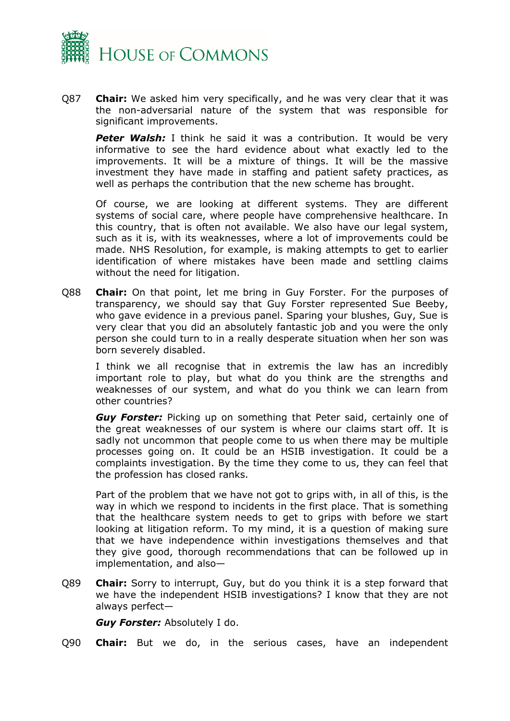

Q87 **Chair:** We asked him very specifically, and he was very clear that it was the non-adversarial nature of the system that was responsible for significant improvements.

**Peter Walsh:** I think he said it was a contribution. It would be very informative to see the hard evidence about what exactly led to the improvements. It will be a mixture of things. It will be the massive investment they have made in staffing and patient safety practices, as well as perhaps the contribution that the new scheme has brought.

Of course, we are looking at different systems. They are different systems of social care, where people have comprehensive healthcare. In this country, that is often not available. We also have our legal system, such as it is, with its weaknesses, where a lot of improvements could be made. NHS Resolution, for example, is making attempts to get to earlier identification of where mistakes have been made and settling claims without the need for litigation.

Q88 **Chair:** On that point, let me bring in Guy Forster. For the purposes of transparency, we should say that Guy Forster represented Sue Beeby, who gave evidence in a previous panel. Sparing your blushes, Guy, Sue is very clear that you did an absolutely fantastic job and you were the only person she could turn to in a really desperate situation when her son was born severely disabled.

I think we all recognise that in extremis the law has an incredibly important role to play, but what do you think are the strengths and weaknesses of our system, and what do you think we can learn from other countries?

*Guy Forster:* Picking up on something that Peter said, certainly one of the great weaknesses of our system is where our claims start off. It is sadly not uncommon that people come to us when there may be multiple processes going on. It could be an HSIB investigation. It could be a complaints investigation. By the time they come to us, they can feel that the profession has closed ranks.

Part of the problem that we have not got to grips with, in all of this, is the way in which we respond to incidents in the first place. That is something that the healthcare system needs to get to grips with before we start looking at litigation reform. To my mind, it is a question of making sure that we have independence within investigations themselves and that they give good, thorough recommendations that can be followed up in implementation, and also—

Q89 **Chair:** Sorry to interrupt, Guy, but do you think it is a step forward that we have the independent HSIB investigations? I know that they are not always perfect—

*Guy Forster:* Absolutely I do.

Q90 **Chair:** But we do, in the serious cases, have an independent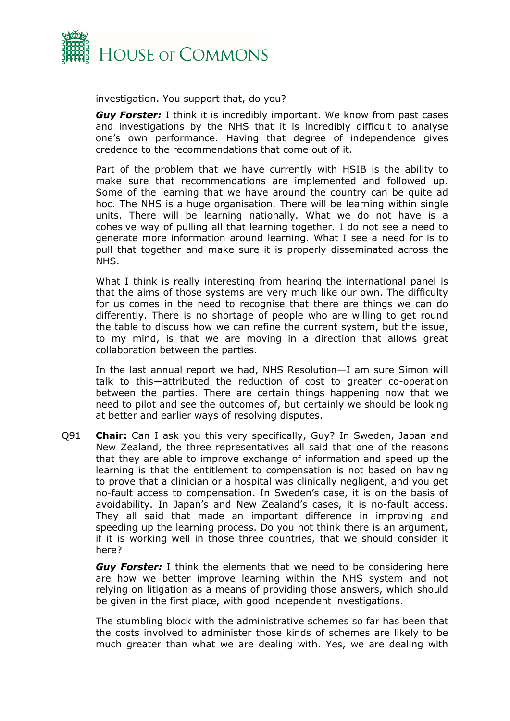

investigation. You support that, do you?

*Guy Forster:* I think it is incredibly important. We know from past cases and investigations by the NHS that it is incredibly difficult to analyse one's own performance. Having that degree of independence gives credence to the recommendations that come out of it.

Part of the problem that we have currently with HSIB is the ability to make sure that recommendations are implemented and followed up. Some of the learning that we have around the country can be quite ad hoc. The NHS is a huge organisation. There will be learning within single units. There will be learning nationally. What we do not have is a cohesive way of pulling all that learning together. I do not see a need to generate more information around learning. What I see a need for is to pull that together and make sure it is properly disseminated across the NHS.

What I think is really interesting from hearing the international panel is that the aims of those systems are very much like our own. The difficulty for us comes in the need to recognise that there are things we can do differently. There is no shortage of people who are willing to get round the table to discuss how we can refine the current system, but the issue, to my mind, is that we are moving in a direction that allows great collaboration between the parties.

In the last annual report we had, NHS Resolution—I am sure Simon will talk to this—attributed the reduction of cost to greater co-operation between the parties. There are certain things happening now that we need to pilot and see the outcomes of, but certainly we should be looking at better and earlier ways of resolving disputes.

Q91 **Chair:** Can I ask you this very specifically, Guy? In Sweden, Japan and New Zealand, the three representatives all said that one of the reasons that they are able to improve exchange of information and speed up the learning is that the entitlement to compensation is not based on having to prove that a clinician or a hospital was clinically negligent, and you get no-fault access to compensation. In Sweden's case, it is on the basis of avoidability. In Japan's and New Zealand's cases, it is no-fault access. They all said that made an important difference in improving and speeding up the learning process. Do you not think there is an argument, if it is working well in those three countries, that we should consider it here?

*Guy Forster:* I think the elements that we need to be considering here are how we better improve learning within the NHS system and not relying on litigation as a means of providing those answers, which should be given in the first place, with good independent investigations.

The stumbling block with the administrative schemes so far has been that the costs involved to administer those kinds of schemes are likely to be much greater than what we are dealing with. Yes, we are dealing with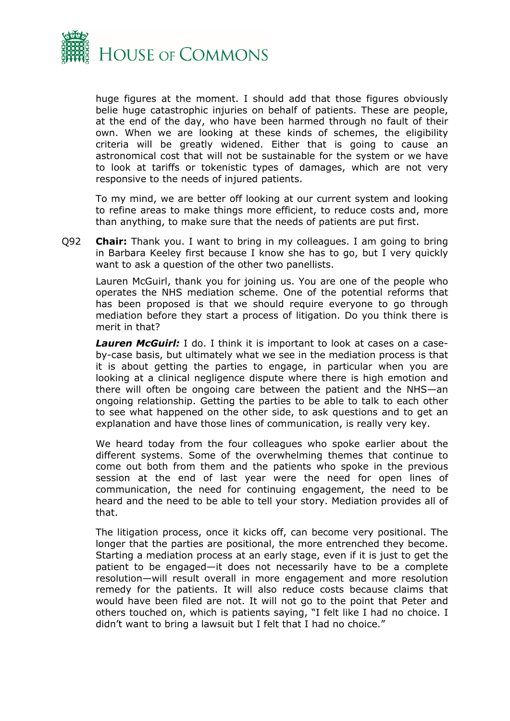

huge figures at the moment. I should add that those figures obviously belie huge catastrophic injuries on behalf of patients. These are people, at the end of the day, who have been harmed through no fault of their own. When we are looking at these kinds of schemes, the eligibility criteria will be greatly widened. Either that is going to cause an astronomical cost that will not be sustainable for the system or we have to look at tariffs or tokenistic types of damages, which are not very responsive to the needs of injured patients.

To my mind, we are better off looking at our current system and looking to refine areas to make things more efficient, to reduce costs and, more than anything, to make sure that the needs of patients are put first.

Q92 **Chair:** Thank you. I want to bring in my colleagues. I am going to bring in Barbara Keeley first because I know she has to go, but I very quickly want to ask a question of the other two panellists.

Lauren McGuirl, thank you for joining us. You are one of the people who operates the NHS mediation scheme. One of the potential reforms that has been proposed is that we should require everyone to go through mediation before they start a process of litigation. Do you think there is merit in that?

*Lauren McGuirl:* I do. I think it is important to look at cases on a caseby-case basis, but ultimately what we see in the mediation process is that it is about getting the parties to engage, in particular when you are looking at a clinical negligence dispute where there is high emotion and there will often be ongoing care between the patient and the NHS—an ongoing relationship. Getting the parties to be able to talk to each other to see what happened on the other side, to ask questions and to get an explanation and have those lines of communication, is really very key.

We heard today from the four colleagues who spoke earlier about the different systems. Some of the overwhelming themes that continue to come out both from them and the patients who spoke in the previous session at the end of last year were the need for open lines of communication, the need for continuing engagement, the need to be heard and the need to be able to tell your story. Mediation provides all of that.

The litigation process, once it kicks off, can become very positional. The longer that the parties are positional, the more entrenched they become. Starting a mediation process at an early stage, even if it is just to get the patient to be engaged—it does not necessarily have to be a complete resolution—will result overall in more engagement and more resolution remedy for the patients. It will also reduce costs because claims that would have been filed are not. It will not go to the point that Peter and others touched on, which is patients saying, "I felt like I had no choice. I didn't want to bring a lawsuit but I felt that I had no choice."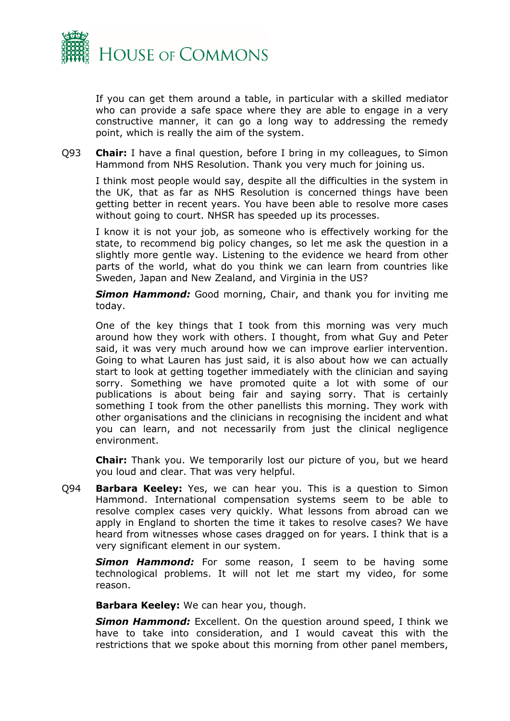

If you can get them around a table, in particular with a skilled mediator who can provide a safe space where they are able to engage in a very constructive manner, it can go a long way to addressing the remedy point, which is really the aim of the system.

Q93 **Chair:** I have a final question, before I bring in my colleagues, to Simon Hammond from NHS Resolution. Thank you very much for joining us.

I think most people would say, despite all the difficulties in the system in the UK, that as far as NHS Resolution is concerned things have been getting better in recent years. You have been able to resolve more cases without going to court. NHSR has speeded up its processes.

I know it is not your job, as someone who is effectively working for the state, to recommend big policy changes, so let me ask the question in a slightly more gentle way. Listening to the evidence we heard from other parts of the world, what do you think we can learn from countries like Sweden, Japan and New Zealand, and Virginia in the US?

*Simon Hammond:* Good morning, Chair, and thank you for inviting me today.

One of the key things that I took from this morning was very much around how they work with others. I thought, from what Guy and Peter said, it was very much around how we can improve earlier intervention. Going to what Lauren has just said, it is also about how we can actually start to look at getting together immediately with the clinician and saying sorry. Something we have promoted quite a lot with some of our publications is about being fair and saying sorry. That is certainly something I took from the other panellists this morning. They work with other organisations and the clinicians in recognising the incident and what you can learn, and not necessarily from just the clinical negligence environment.

**Chair:** Thank you. We temporarily lost our picture of you, but we heard you loud and clear. That was very helpful.

Q94 **Barbara Keeley:** Yes, we can hear you. This is a question to Simon Hammond. International compensation systems seem to be able to resolve complex cases very quickly. What lessons from abroad can we apply in England to shorten the time it takes to resolve cases? We have heard from witnesses whose cases dragged on for years. I think that is a very significant element in our system.

*Simon Hammond:* For some reason, I seem to be having some technological problems. It will not let me start my video, for some reason.

**Barbara Keeley:** We can hear you, though.

*Simon Hammond:* Excellent. On the question around speed, I think we have to take into consideration, and I would caveat this with the restrictions that we spoke about this morning from other panel members,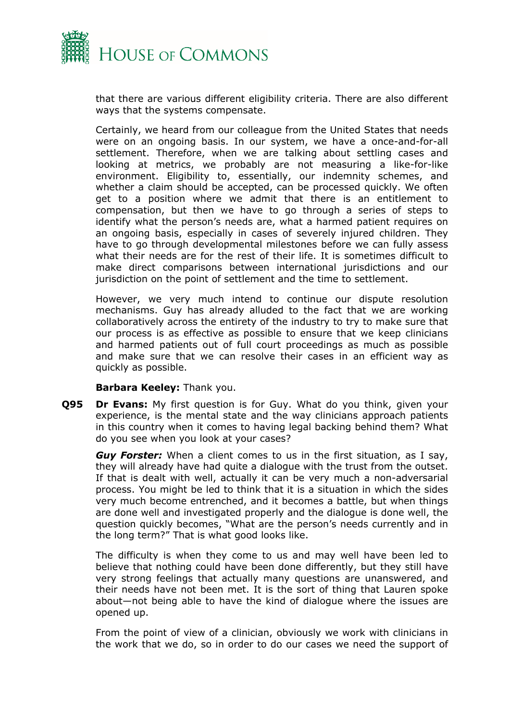

that there are various different eligibility criteria. There are also different ways that the systems compensate.

Certainly, we heard from our colleague from the United States that needs were on an ongoing basis. In our system, we have a once-and-for-all settlement. Therefore, when we are talking about settling cases and looking at metrics, we probably are not measuring a like-for-like environment. Eligibility to, essentially, our indemnity schemes, and whether a claim should be accepted, can be processed quickly. We often get to a position where we admit that there is an entitlement to compensation, but then we have to go through a series of steps to identify what the person's needs are, what a harmed patient requires on an ongoing basis, especially in cases of severely injured children. They have to go through developmental milestones before we can fully assess what their needs are for the rest of their life. It is sometimes difficult to make direct comparisons between international jurisdictions and our jurisdiction on the point of settlement and the time to settlement.

However, we very much intend to continue our dispute resolution mechanisms. Guy has already alluded to the fact that we are working collaboratively across the entirety of the industry to try to make sure that our process is as effective as possible to ensure that we keep clinicians and harmed patients out of full court proceedings as much as possible and make sure that we can resolve their cases in an efficient way as quickly as possible.

#### **Barbara Keeley:** Thank you.

**Q95 Dr Evans:** My first question is for Guy. What do you think, given your experience, is the mental state and the way clinicians approach patients in this country when it comes to having legal backing behind them? What do you see when you look at your cases?

*Guy Forster:* When a client comes to us in the first situation, as I say, they will already have had quite a dialogue with the trust from the outset. If that is dealt with well, actually it can be very much a non-adversarial process. You might be led to think that it is a situation in which the sides very much become entrenched, and it becomes a battle, but when things are done well and investigated properly and the dialogue is done well, the question quickly becomes, "What are the person's needs currently and in the long term?" That is what good looks like.

The difficulty is when they come to us and may well have been led to believe that nothing could have been done differently, but they still have very strong feelings that actually many questions are unanswered, and their needs have not been met. It is the sort of thing that Lauren spoke about—not being able to have the kind of dialogue where the issues are opened up.

From the point of view of a clinician, obviously we work with clinicians in the work that we do, so in order to do our cases we need the support of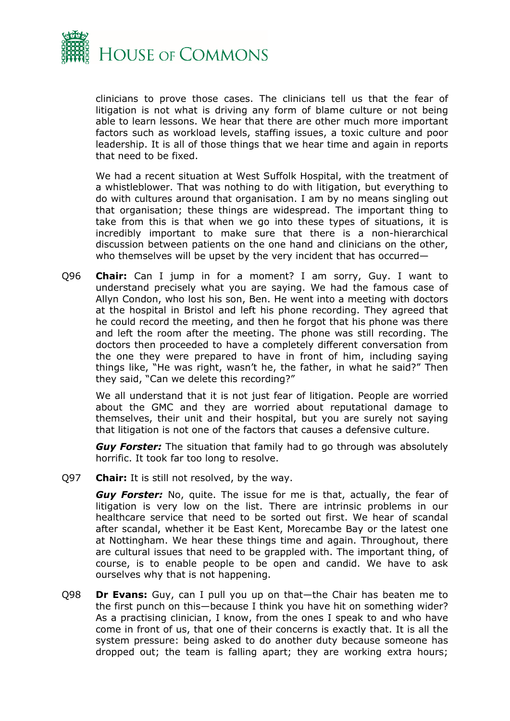

clinicians to prove those cases. The clinicians tell us that the fear of litigation is not what is driving any form of blame culture or not being able to learn lessons. We hear that there are other much more important factors such as workload levels, staffing issues, a toxic culture and poor leadership. It is all of those things that we hear time and again in reports that need to be fixed.

We had a recent situation at West Suffolk Hospital, with the treatment of a whistleblower. That was nothing to do with litigation, but everything to do with cultures around that organisation. I am by no means singling out that organisation; these things are widespread. The important thing to take from this is that when we go into these types of situations, it is incredibly important to make sure that there is a non-hierarchical discussion between patients on the one hand and clinicians on the other, who themselves will be upset by the very incident that has occurred—

Q96 **Chair:** Can I jump in for a moment? I am sorry, Guy. I want to understand precisely what you are saying. We had the famous case of Allyn Condon, who lost his son, Ben. He went into a meeting with doctors at the hospital in Bristol and left his phone recording. They agreed that he could record the meeting, and then he forgot that his phone was there and left the room after the meeting. The phone was still recording. The doctors then proceeded to have a completely different conversation from the one they were prepared to have in front of him, including saying things like, "He was right, wasn't he, the father, in what he said?" Then they said, "Can we delete this recording?"

We all understand that it is not just fear of litigation. People are worried about the GMC and they are worried about reputational damage to themselves, their unit and their hospital, but you are surely not saying that litigation is not one of the factors that causes a defensive culture.

*Guy Forster:* The situation that family had to go through was absolutely horrific. It took far too long to resolve.

Q97 **Chair:** It is still not resolved, by the way.

**Guy Forster:** No, quite. The issue for me is that, actually, the fear of litigation is very low on the list. There are intrinsic problems in our healthcare service that need to be sorted out first. We hear of scandal after scandal, whether it be East Kent, Morecambe Bay or the latest one at Nottingham. We hear these things time and again. Throughout, there are cultural issues that need to be grappled with. The important thing, of course, is to enable people to be open and candid. We have to ask ourselves why that is not happening.

Q98 **Dr Evans:** Guy, can I pull you up on that—the Chair has beaten me to the first punch on this—because I think you have hit on something wider? As a practising clinician, I know, from the ones I speak to and who have come in front of us, that one of their concerns is exactly that. It is all the system pressure: being asked to do another duty because someone has dropped out; the team is falling apart; they are working extra hours;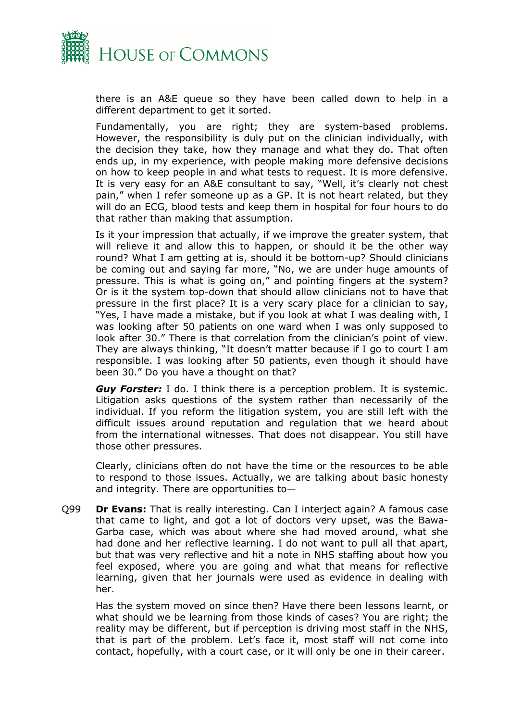

there is an A&E queue so they have been called down to help in a different department to get it sorted.

Fundamentally, you are right; they are system-based problems. However, the responsibility is duly put on the clinician individually, with the decision they take, how they manage and what they do. That often ends up, in my experience, with people making more defensive decisions on how to keep people in and what tests to request. It is more defensive. It is very easy for an A&E consultant to say, "Well, it's clearly not chest pain," when I refer someone up as a GP. It is not heart related, but they will do an ECG, blood tests and keep them in hospital for four hours to do that rather than making that assumption.

Is it your impression that actually, if we improve the greater system, that will relieve it and allow this to happen, or should it be the other way round? What I am getting at is, should it be bottom-up? Should clinicians be coming out and saying far more, "No, we are under huge amounts of pressure. This is what is going on," and pointing fingers at the system? Or is it the system top-down that should allow clinicians not to have that pressure in the first place? It is a very scary place for a clinician to say, "Yes, I have made a mistake, but if you look at what I was dealing with, I was looking after 50 patients on one ward when I was only supposed to look after 30." There is that correlation from the clinician's point of view. They are always thinking, "It doesn't matter because if I go to court I am responsible. I was looking after 50 patients, even though it should have been 30." Do you have a thought on that?

*Guy Forster:* I do. I think there is a perception problem. It is systemic. Litigation asks questions of the system rather than necessarily of the individual. If you reform the litigation system, you are still left with the difficult issues around reputation and regulation that we heard about from the international witnesses. That does not disappear. You still have those other pressures.

Clearly, clinicians often do not have the time or the resources to be able to respond to those issues. Actually, we are talking about basic honesty and integrity. There are opportunities to—

Q99 **Dr Evans:** That is really interesting. Can I interject again? A famous case that came to light, and got a lot of doctors very upset, was the Bawa-Garba case, which was about where she had moved around, what she had done and her reflective learning. I do not want to pull all that apart, but that was very reflective and hit a note in NHS staffing about how you feel exposed, where you are going and what that means for reflective learning, given that her journals were used as evidence in dealing with her.

Has the system moved on since then? Have there been lessons learnt, or what should we be learning from those kinds of cases? You are right; the reality may be different, but if perception is driving most staff in the NHS, that is part of the problem. Let's face it, most staff will not come into contact, hopefully, with a court case, or it will only be one in their career.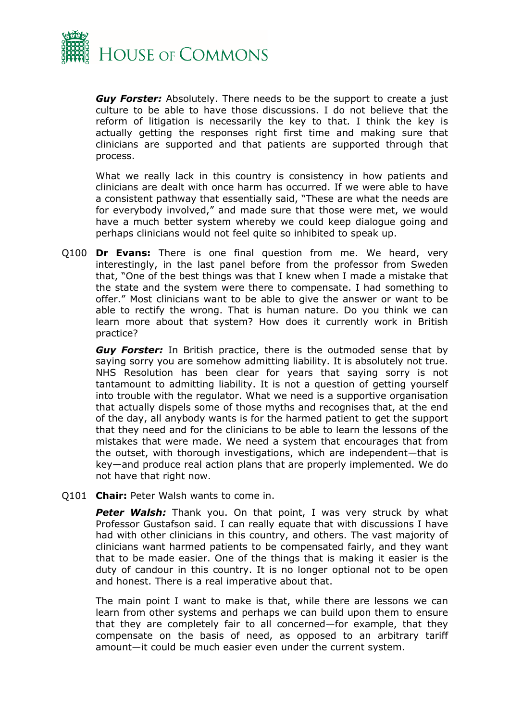

*Guy Forster:* Absolutely. There needs to be the support to create a just culture to be able to have those discussions. I do not believe that the reform of litigation is necessarily the key to that. I think the key is actually getting the responses right first time and making sure that clinicians are supported and that patients are supported through that process.

What we really lack in this country is consistency in how patients and clinicians are dealt with once harm has occurred. If we were able to have a consistent pathway that essentially said, "These are what the needs are for everybody involved," and made sure that those were met, we would have a much better system whereby we could keep dialogue going and perhaps clinicians would not feel quite so inhibited to speak up.

Q100 **Dr Evans:** There is one final question from me. We heard, very interestingly, in the last panel before from the professor from Sweden that, "One of the best things was that I knew when I made a mistake that the state and the system were there to compensate. I had something to offer." Most clinicians want to be able to give the answer or want to be able to rectify the wrong. That is human nature. Do you think we can learn more about that system? How does it currently work in British practice?

*Guy Forster:* In British practice, there is the outmoded sense that by saying sorry you are somehow admitting liability. It is absolutely not true. NHS Resolution has been clear for years that saying sorry is not tantamount to admitting liability. It is not a question of getting yourself into trouble with the regulator. What we need is a supportive organisation that actually dispels some of those myths and recognises that, at the end of the day, all anybody wants is for the harmed patient to get the support that they need and for the clinicians to be able to learn the lessons of the mistakes that were made. We need a system that encourages that from the outset, with thorough investigations, which are independent—that is key—and produce real action plans that are properly implemented. We do not have that right now.

Q101 **Chair:** Peter Walsh wants to come in.

**Peter Walsh:** Thank you. On that point, I was very struck by what Professor Gustafson said. I can really equate that with discussions I have had with other clinicians in this country, and others. The vast majority of clinicians want harmed patients to be compensated fairly, and they want that to be made easier. One of the things that is making it easier is the duty of candour in this country. It is no longer optional not to be open and honest. There is a real imperative about that.

The main point I want to make is that, while there are lessons we can learn from other systems and perhaps we can build upon them to ensure that they are completely fair to all concerned—for example, that they compensate on the basis of need, as opposed to an arbitrary tariff amount—it could be much easier even under the current system.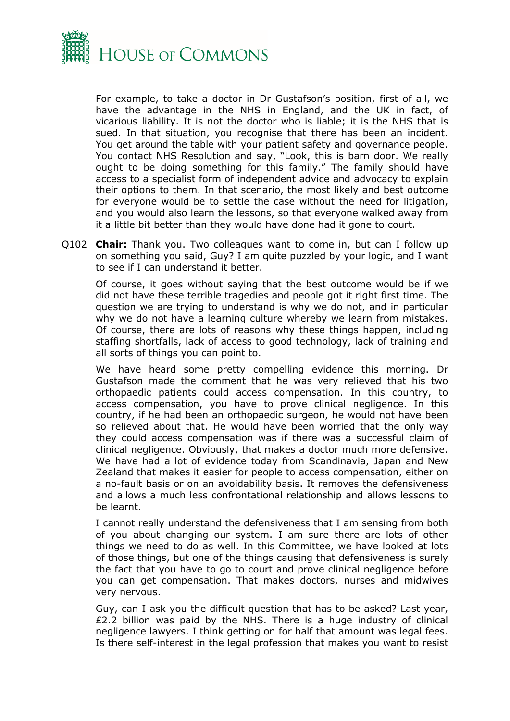

For example, to take a doctor in Dr Gustafson's position, first of all, we have the advantage in the NHS in England, and the UK in fact, of vicarious liability. It is not the doctor who is liable; it is the NHS that is sued. In that situation, you recognise that there has been an incident. You get around the table with your patient safety and governance people. You contact NHS Resolution and say, "Look, this is barn door. We really ought to be doing something for this family." The family should have access to a specialist form of independent advice and advocacy to explain their options to them. In that scenario, the most likely and best outcome for everyone would be to settle the case without the need for litigation, and you would also learn the lessons, so that everyone walked away from it a little bit better than they would have done had it gone to court.

Q102 **Chair:** Thank you. Two colleagues want to come in, but can I follow up on something you said, Guy? I am quite puzzled by your logic, and I want to see if I can understand it better.

Of course, it goes without saying that the best outcome would be if we did not have these terrible tragedies and people got it right first time. The question we are trying to understand is why we do not, and in particular why we do not have a learning culture whereby we learn from mistakes. Of course, there are lots of reasons why these things happen, including staffing shortfalls, lack of access to good technology, lack of training and all sorts of things you can point to.

We have heard some pretty compelling evidence this morning. Dr Gustafson made the comment that he was very relieved that his two orthopaedic patients could access compensation. In this country, to access compensation, you have to prove clinical negligence. In this country, if he had been an orthopaedic surgeon, he would not have been so relieved about that. He would have been worried that the only way they could access compensation was if there was a successful claim of clinical negligence. Obviously, that makes a doctor much more defensive. We have had a lot of evidence today from Scandinavia, Japan and New Zealand that makes it easier for people to access compensation, either on a no-fault basis or on an avoidability basis. It removes the defensiveness and allows a much less confrontational relationship and allows lessons to be learnt.

I cannot really understand the defensiveness that I am sensing from both of you about changing our system. I am sure there are lots of other things we need to do as well. In this Committee, we have looked at lots of those things, but one of the things causing that defensiveness is surely the fact that you have to go to court and prove clinical negligence before you can get compensation. That makes doctors, nurses and midwives very nervous.

Guy, can I ask you the difficult question that has to be asked? Last year,  $£2.2$  billion was paid by the NHS. There is a huge industry of clinical negligence lawyers. I think getting on for half that amount was legal fees. Is there self-interest in the legal profession that makes you want to resist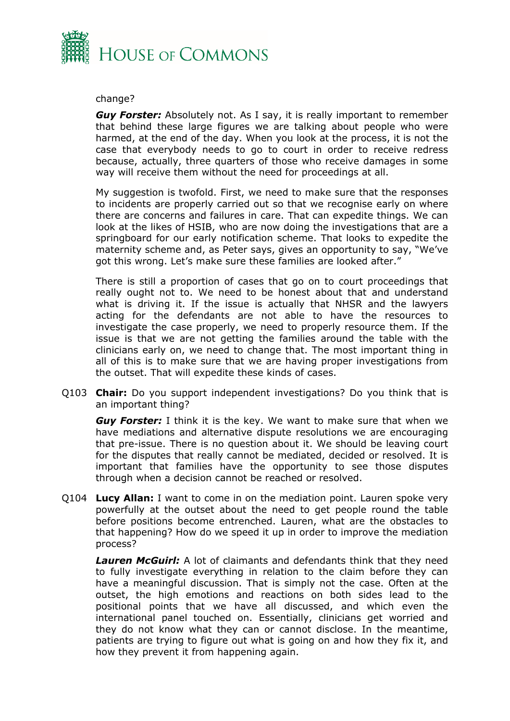

#### change?

*Guy Forster:* Absolutely not. As I say, it is really important to remember that behind these large figures we are talking about people who were harmed, at the end of the day. When you look at the process, it is not the case that everybody needs to go to court in order to receive redress because, actually, three quarters of those who receive damages in some way will receive them without the need for proceedings at all.

My suggestion is twofold. First, we need to make sure that the responses to incidents are properly carried out so that we recognise early on where there are concerns and failures in care. That can expedite things. We can look at the likes of HSIB, who are now doing the investigations that are a springboard for our early notification scheme. That looks to expedite the maternity scheme and, as Peter says, gives an opportunity to say, "We've got this wrong. Let's make sure these families are looked after."

There is still a proportion of cases that go on to court proceedings that really ought not to. We need to be honest about that and understand what is driving it. If the issue is actually that NHSR and the lawyers acting for the defendants are not able to have the resources to investigate the case properly, we need to properly resource them. If the issue is that we are not getting the families around the table with the clinicians early on, we need to change that. The most important thing in all of this is to make sure that we are having proper investigations from the outset. That will expedite these kinds of cases.

Q103 **Chair:** Do you support independent investigations? Do you think that is an important thing?

*Guy Forster:* I think it is the key. We want to make sure that when we have mediations and alternative dispute resolutions we are encouraging that pre-issue. There is no question about it. We should be leaving court for the disputes that really cannot be mediated, decided or resolved. It is important that families have the opportunity to see those disputes through when a decision cannot be reached or resolved.

Q104 **Lucy Allan:** I want to come in on the mediation point. Lauren spoke very powerfully at the outset about the need to get people round the table before positions become entrenched. Lauren, what are the obstacles to that happening? How do we speed it up in order to improve the mediation process?

*Lauren McGuirl:* A lot of claimants and defendants think that they need to fully investigate everything in relation to the claim before they can have a meaningful discussion. That is simply not the case. Often at the outset, the high emotions and reactions on both sides lead to the positional points that we have all discussed, and which even the international panel touched on. Essentially, clinicians get worried and they do not know what they can or cannot disclose. In the meantime, patients are trying to figure out what is going on and how they fix it, and how they prevent it from happening again.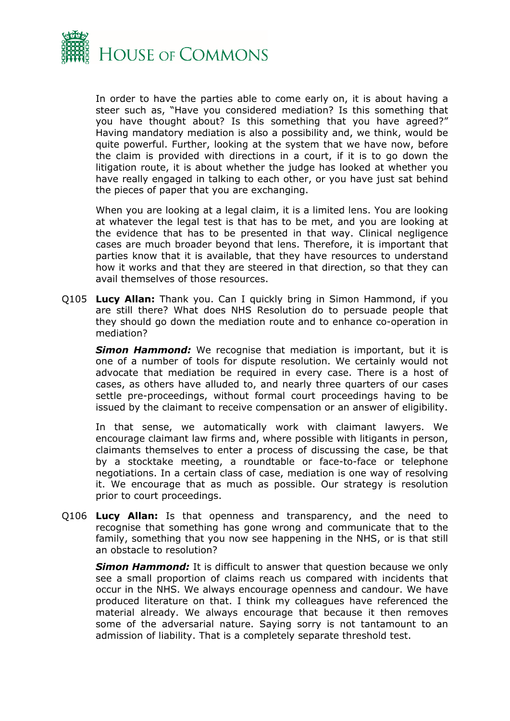

In order to have the parties able to come early on, it is about having a steer such as, "Have you considered mediation? Is this something that you have thought about? Is this something that you have agreed?" Having mandatory mediation is also a possibility and, we think, would be quite powerful. Further, looking at the system that we have now, before the claim is provided with directions in a court, if it is to go down the litigation route, it is about whether the judge has looked at whether you have really engaged in talking to each other, or you have just sat behind the pieces of paper that you are exchanging.

When you are looking at a legal claim, it is a limited lens. You are looking at whatever the legal test is that has to be met, and you are looking at the evidence that has to be presented in that way. Clinical negligence cases are much broader beyond that lens. Therefore, it is important that parties know that it is available, that they have resources to understand how it works and that they are steered in that direction, so that they can avail themselves of those resources.

Q105 **Lucy Allan:** Thank you. Can I quickly bring in Simon Hammond, if you are still there? What does NHS Resolution do to persuade people that they should go down the mediation route and to enhance co-operation in mediation?

*Simon Hammond:* We recognise that mediation is important, but it is one of a number of tools for dispute resolution. We certainly would not advocate that mediation be required in every case. There is a host of cases, as others have alluded to, and nearly three quarters of our cases settle pre-proceedings, without formal court proceedings having to be issued by the claimant to receive compensation or an answer of eligibility.

In that sense, we automatically work with claimant lawyers. We encourage claimant law firms and, where possible with litigants in person, claimants themselves to enter a process of discussing the case, be that by a stocktake meeting, a roundtable or face-to-face or telephone negotiations. In a certain class of case, mediation is one way of resolving it. We encourage that as much as possible. Our strategy is resolution prior to court proceedings.

Q106 **Lucy Allan:** Is that openness and transparency, and the need to recognise that something has gone wrong and communicate that to the family, something that you now see happening in the NHS, or is that still an obstacle to resolution?

*Simon Hammond:* It is difficult to answer that question because we only see a small proportion of claims reach us compared with incidents that occur in the NHS. We always encourage openness and candour. We have produced literature on that. I think my colleagues have referenced the material already. We always encourage that because it then removes some of the adversarial nature. Saying sorry is not tantamount to an admission of liability. That is a completely separate threshold test.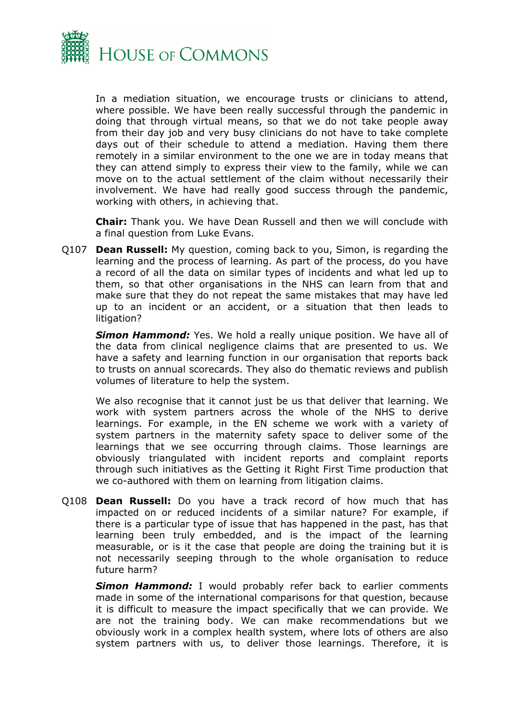

In a mediation situation, we encourage trusts or clinicians to attend, where possible. We have been really successful through the pandemic in doing that through virtual means, so that we do not take people away from their day job and very busy clinicians do not have to take complete days out of their schedule to attend a mediation. Having them there remotely in a similar environment to the one we are in today means that they can attend simply to express their view to the family, while we can move on to the actual settlement of the claim without necessarily their involvement. We have had really good success through the pandemic, working with others, in achieving that.

**Chair:** Thank you. We have Dean Russell and then we will conclude with a final question from Luke Evans.

Q107 **Dean Russell:** My question, coming back to you, Simon, is regarding the learning and the process of learning. As part of the process, do you have a record of all the data on similar types of incidents and what led up to them, so that other organisations in the NHS can learn from that and make sure that they do not repeat the same mistakes that may have led up to an incident or an accident, or a situation that then leads to litigation?

*Simon Hammond:* Yes. We hold a really unique position. We have all of the data from clinical negligence claims that are presented to us. We have a safety and learning function in our organisation that reports back to trusts on annual scorecards. They also do thematic reviews and publish volumes of literature to help the system.

We also recognise that it cannot just be us that deliver that learning. We work with system partners across the whole of the NHS to derive learnings. For example, in the EN scheme we work with a variety of system partners in the maternity safety space to deliver some of the learnings that we see occurring through claims. Those learnings are obviously triangulated with incident reports and complaint reports through such initiatives as the Getting it Right First Time production that we co-authored with them on learning from litigation claims.

Q108 **Dean Russell:** Do you have a track record of how much that has impacted on or reduced incidents of a similar nature? For example, if there is a particular type of issue that has happened in the past, has that learning been truly embedded, and is the impact of the learning measurable, or is it the case that people are doing the training but it is not necessarily seeping through to the whole organisation to reduce future harm?

*Simon Hammond:* I would probably refer back to earlier comments made in some of the international comparisons for that question, because it is difficult to measure the impact specifically that we can provide. We are not the training body. We can make recommendations but we obviously work in a complex health system, where lots of others are also system partners with us, to deliver those learnings. Therefore, it is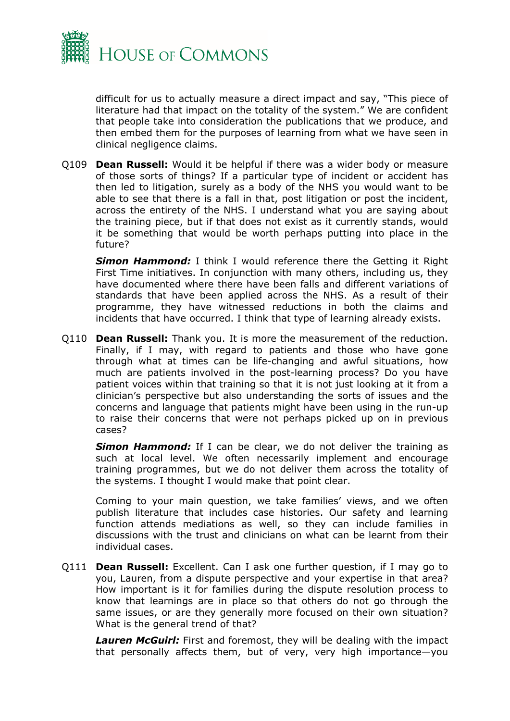

difficult for us to actually measure a direct impact and say, "This piece of literature had that impact on the totality of the system." We are confident that people take into consideration the publications that we produce, and then embed them for the purposes of learning from what we have seen in clinical negligence claims.

Q109 **Dean Russell:** Would it be helpful if there was a wider body or measure of those sorts of things? If a particular type of incident or accident has then led to litigation, surely as a body of the NHS you would want to be able to see that there is a fall in that, post litigation or post the incident, across the entirety of the NHS. I understand what you are saying about the training piece, but if that does not exist as it currently stands, would it be something that would be worth perhaps putting into place in the future?

**Simon Hammond:** I think I would reference there the Getting it Right First Time initiatives. In conjunction with many others, including us, they have documented where there have been falls and different variations of standards that have been applied across the NHS. As a result of their programme, they have witnessed reductions in both the claims and incidents that have occurred. I think that type of learning already exists.

Q110 **Dean Russell:** Thank you. It is more the measurement of the reduction. Finally, if I may, with regard to patients and those who have gone through what at times can be life-changing and awful situations, how much are patients involved in the post-learning process? Do you have patient voices within that training so that it is not just looking at it from a clinician's perspective but also understanding the sorts of issues and the concerns and language that patients might have been using in the run-up to raise their concerns that were not perhaps picked up on in previous cases?

*Simon Hammond:* If I can be clear, we do not deliver the training as such at local level. We often necessarily implement and encourage training programmes, but we do not deliver them across the totality of the systems. I thought I would make that point clear.

Coming to your main question, we take families' views, and we often publish literature that includes case histories. Our safety and learning function attends mediations as well, so they can include families in discussions with the trust and clinicians on what can be learnt from their individual cases.

Q111 **Dean Russell:** Excellent. Can I ask one further question, if I may go to you, Lauren, from a dispute perspective and your expertise in that area? How important is it for families during the dispute resolution process to know that learnings are in place so that others do not go through the same issues, or are they generally more focused on their own situation? What is the general trend of that?

*Lauren McGuirl:* First and foremost, they will be dealing with the impact that personally affects them, but of very, very high importance—you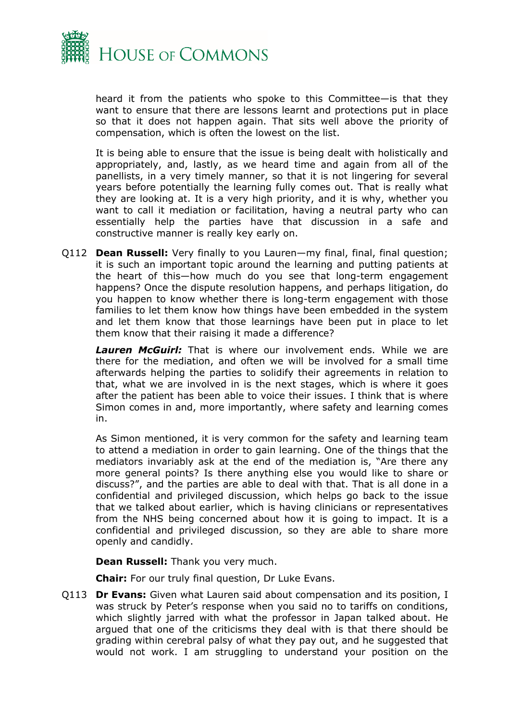

heard it from the patients who spoke to this Committee—is that they want to ensure that there are lessons learnt and protections put in place so that it does not happen again. That sits well above the priority of compensation, which is often the lowest on the list.

It is being able to ensure that the issue is being dealt with holistically and appropriately, and, lastly, as we heard time and again from all of the panellists, in a very timely manner, so that it is not lingering for several years before potentially the learning fully comes out. That is really what they are looking at. It is a very high priority, and it is why, whether you want to call it mediation or facilitation, having a neutral party who can essentially help the parties have that discussion in a safe and constructive manner is really key early on.

Q112 **Dean Russell:** Very finally to you Lauren—my final, final, final question; it is such an important topic around the learning and putting patients at the heart of this—how much do you see that long-term engagement happens? Once the dispute resolution happens, and perhaps litigation, do you happen to know whether there is long-term engagement with those families to let them know how things have been embedded in the system and let them know that those learnings have been put in place to let them know that their raising it made a difference?

*Lauren McGuirl:* That is where our involvement ends. While we are there for the mediation, and often we will be involved for a small time afterwards helping the parties to solidify their agreements in relation to that, what we are involved in is the next stages, which is where it goes after the patient has been able to voice their issues. I think that is where Simon comes in and, more importantly, where safety and learning comes in.

As Simon mentioned, it is very common for the safety and learning team to attend a mediation in order to gain learning. One of the things that the mediators invariably ask at the end of the mediation is, "Are there any more general points? Is there anything else you would like to share or discuss?", and the parties are able to deal with that. That is all done in a confidential and privileged discussion, which helps go back to the issue that we talked about earlier, which is having clinicians or representatives from the NHS being concerned about how it is going to impact. It is a confidential and privileged discussion, so they are able to share more openly and candidly.

**Dean Russell:** Thank you very much.

**Chair:** For our truly final question, Dr Luke Evans.

Q113 **Dr Evans:** Given what Lauren said about compensation and its position, I was struck by Peter's response when you said no to tariffs on conditions, which slightly jarred with what the professor in Japan talked about. He argued that one of the criticisms they deal with is that there should be grading within cerebral palsy of what they pay out, and he suggested that would not work. I am struggling to understand your position on the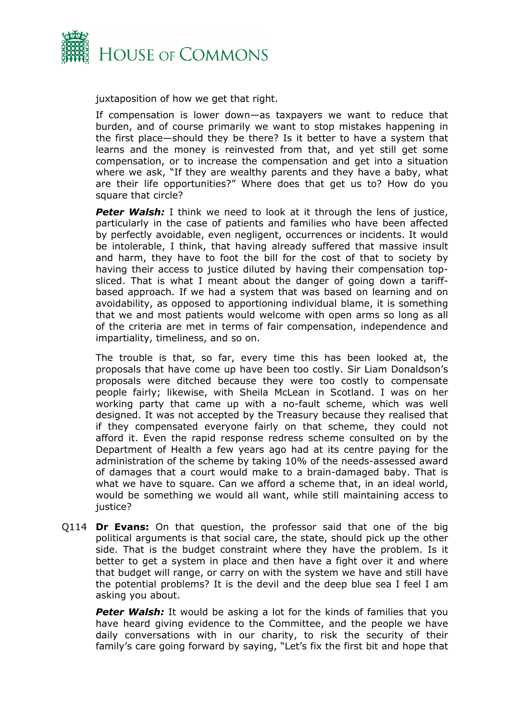

juxtaposition of how we get that right.

If compensation is lower down—as taxpayers we want to reduce that burden, and of course primarily we want to stop mistakes happening in the first place—should they be there? Is it better to have a system that learns and the money is reinvested from that, and yet still get some compensation, or to increase the compensation and get into a situation where we ask, "If they are wealthy parents and they have a baby, what are their life opportunities?" Where does that get us to? How do you square that circle?

**Peter Walsh:** I think we need to look at it through the lens of justice, particularly in the case of patients and families who have been affected by perfectly avoidable, even negligent, occurrences or incidents. It would be intolerable, I think, that having already suffered that massive insult and harm, they have to foot the bill for the cost of that to society by having their access to justice diluted by having their compensation topsliced. That is what I meant about the danger of going down a tariffbased approach. If we had a system that was based on learning and on avoidability, as opposed to apportioning individual blame, it is something that we and most patients would welcome with open arms so long as all of the criteria are met in terms of fair compensation, independence and impartiality, timeliness, and so on.

The trouble is that, so far, every time this has been looked at, the proposals that have come up have been too costly. Sir Liam Donaldson's proposals were ditched because they were too costly to compensate people fairly; likewise, with Sheila McLean in Scotland. I was on her working party that came up with a no-fault scheme, which was well designed. It was not accepted by the Treasury because they realised that if they compensated everyone fairly on that scheme, they could not afford it. Even the rapid response redress scheme consulted on by the Department of Health a few years ago had at its centre paying for the administration of the scheme by taking 10% of the needs-assessed award of damages that a court would make to a brain-damaged baby. That is what we have to square. Can we afford a scheme that, in an ideal world, would be something we would all want, while still maintaining access to justice?

Q114 **Dr Evans:** On that question, the professor said that one of the big political arguments is that social care, the state, should pick up the other side. That is the budget constraint where they have the problem. Is it better to get a system in place and then have a fight over it and where that budget will range, or carry on with the system we have and still have the potential problems? It is the devil and the deep blue sea I feel I am asking you about.

*Peter Walsh:* It would be asking a lot for the kinds of families that you have heard giving evidence to the Committee, and the people we have daily conversations with in our charity, to risk the security of their family's care going forward by saying, "Let's fix the first bit and hope that